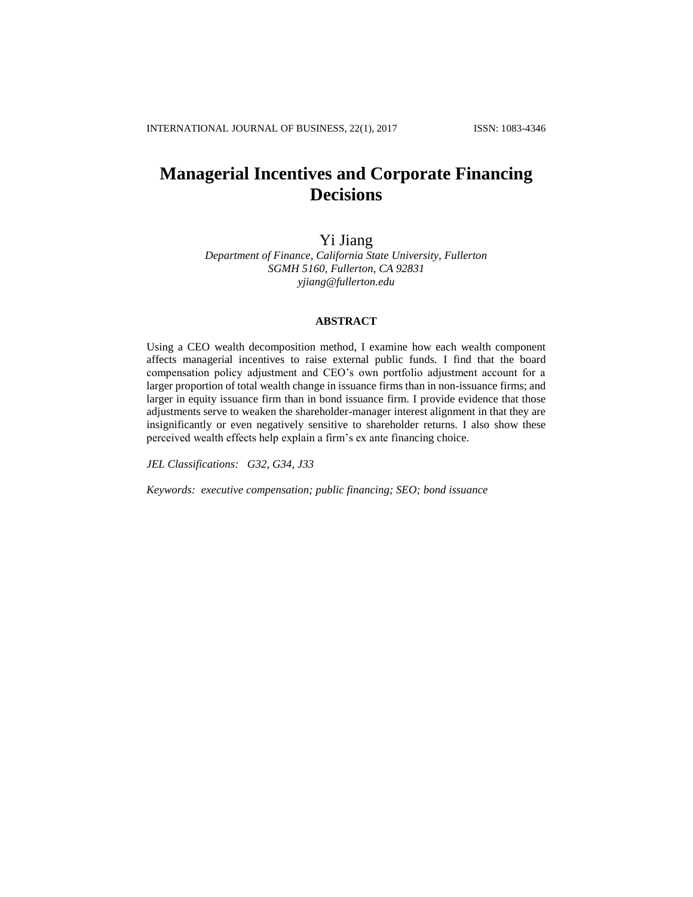# **Managerial Incentives and Corporate Financing Decisions**

Yi Jiang

*Department of Finance, California State University, Fullerton SGMH 5160, Fullerton, CA 92831 yjiang@fullerton.edu*

## **ABSTRACT**

Using a CEO wealth decomposition method, I examine how each wealth component affects managerial incentives to raise external public funds. I find that the board compensation policy adjustment and CEO's own portfolio adjustment account for a larger proportion of total wealth change in issuance firms than in non-issuance firms; and larger in equity issuance firm than in bond issuance firm. I provide evidence that those adjustments serve to weaken the shareholder-manager interest alignment in that they are insignificantly or even negatively sensitive to shareholder returns. I also show these perceived wealth effects help explain a firm's ex ante financing choice.

*JEL Classifications: G32, G34, J33*

*Keywords: executive compensation; public financing; SEO; bond issuance*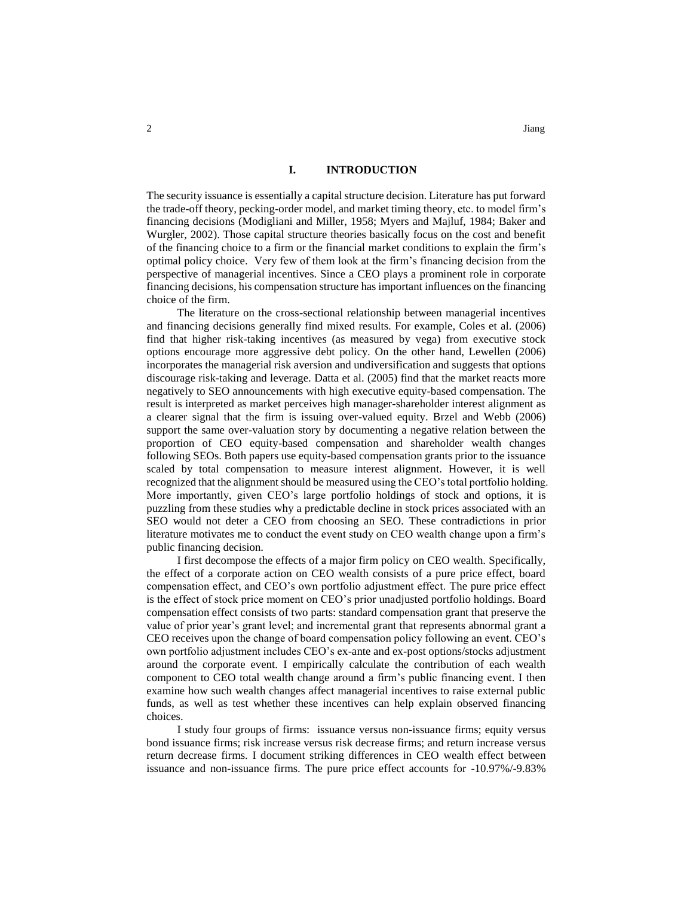## **I. INTRODUCTION**

The security issuance is essentially a capital structure decision. Literature has put forward the trade-off theory, pecking-order model, and market timing theory, etc. to model firm's financing decisions (Modigliani and Miller, 1958; Myers and Majluf, 1984; Baker and Wurgler, 2002). Those capital structure theories basically focus on the cost and benefit of the financing choice to a firm or the financial market conditions to explain the firm's optimal policy choice. Very few of them look at the firm's financing decision from the perspective of managerial incentives. Since a CEO plays a prominent role in corporate financing decisions, his compensation structure has important influences on the financing choice of the firm.

The literature on the cross-sectional relationship between managerial incentives and financing decisions generally find mixed results. For example, Coles et al. (2006) find that higher risk-taking incentives (as measured by vega) from executive stock options encourage more aggressive debt policy. On the other hand, Lewellen (2006) incorporates the managerial risk aversion and undiversification and suggests that options discourage risk-taking and leverage. Datta et al. (2005) find that the market reacts more negatively to SEO announcements with high executive equity-based compensation. The result is interpreted as market perceives high manager-shareholder interest alignment as a clearer signal that the firm is issuing over-valued equity. Brzel and Webb (2006) support the same over-valuation story by documenting a negative relation between the proportion of CEO equity-based compensation and shareholder wealth changes following SEOs. Both papers use equity-based compensation grants prior to the issuance scaled by total compensation to measure interest alignment. However, it is well recognized that the alignment should be measured using the CEO's total portfolio holding. More importantly, given CEO's large portfolio holdings of stock and options, it is puzzling from these studies why a predictable decline in stock prices associated with an SEO would not deter a CEO from choosing an SEO. These contradictions in prior literature motivates me to conduct the event study on CEO wealth change upon a firm's public financing decision.

I first decompose the effects of a major firm policy on CEO wealth. Specifically, the effect of a corporate action on CEO wealth consists of a pure price effect, board compensation effect, and CEO's own portfolio adjustment effect. The pure price effect is the effect of stock price moment on CEO's prior unadjusted portfolio holdings. Board compensation effect consists of two parts: standard compensation grant that preserve the value of prior year's grant level; and incremental grant that represents abnormal grant a CEO receives upon the change of board compensation policy following an event. CEO's own portfolio adjustment includes CEO's ex-ante and ex-post options/stocks adjustment around the corporate event. I empirically calculate the contribution of each wealth component to CEO total wealth change around a firm's public financing event. I then examine how such wealth changes affect managerial incentives to raise external public funds, as well as test whether these incentives can help explain observed financing choices.

I study four groups of firms: issuance versus non-issuance firms; equity versus bond issuance firms; risk increase versus risk decrease firms; and return increase versus return decrease firms. I document striking differences in CEO wealth effect between issuance and non-issuance firms. The pure price effect accounts for -10.97%/-9.83%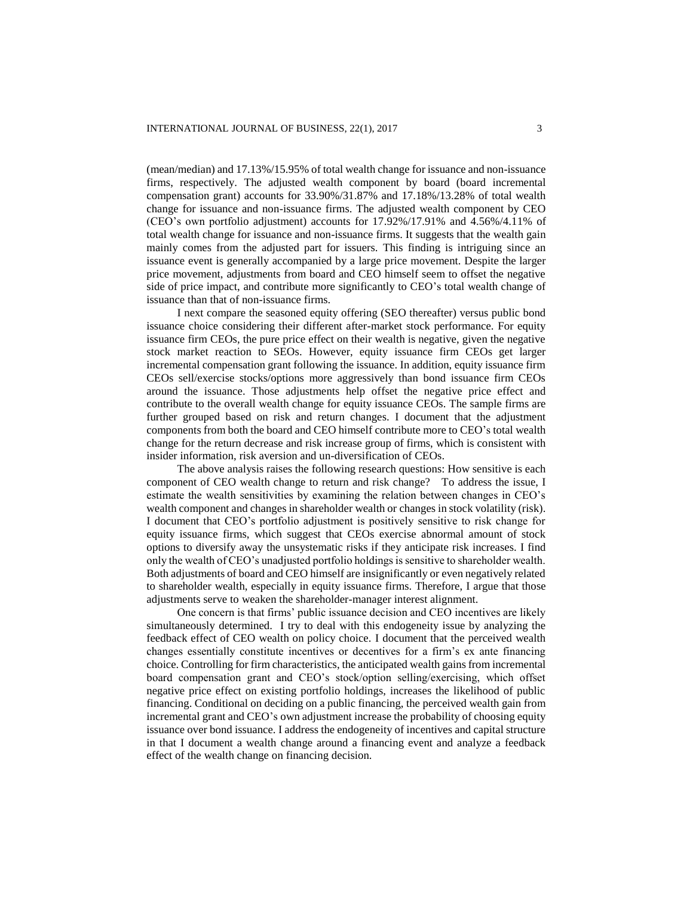(mean/median) and 17.13%/15.95% of total wealth change for issuance and non-issuance firms, respectively. The adjusted wealth component by board (board incremental compensation grant) accounts for 33.90%/31.87% and 17.18%/13.28% of total wealth change for issuance and non-issuance firms. The adjusted wealth component by CEO (CEO's own portfolio adjustment) accounts for 17.92%/17.91% and 4.56%/4.11% of total wealth change for issuance and non-issuance firms. It suggests that the wealth gain mainly comes from the adjusted part for issuers. This finding is intriguing since an issuance event is generally accompanied by a large price movement. Despite the larger price movement, adjustments from board and CEO himself seem to offset the negative side of price impact, and contribute more significantly to CEO's total wealth change of issuance than that of non-issuance firms.

I next compare the seasoned equity offering (SEO thereafter) versus public bond issuance choice considering their different after-market stock performance. For equity issuance firm CEOs, the pure price effect on their wealth is negative, given the negative stock market reaction to SEOs. However, equity issuance firm CEOs get larger incremental compensation grant following the issuance. In addition, equity issuance firm CEOs sell/exercise stocks/options more aggressively than bond issuance firm CEOs around the issuance. Those adjustments help offset the negative price effect and contribute to the overall wealth change for equity issuance CEOs. The sample firms are further grouped based on risk and return changes. I document that the adjustment components from both the board and CEO himself contribute more to CEO's total wealth change for the return decrease and risk increase group of firms, which is consistent with insider information, risk aversion and un-diversification of CEOs.

The above analysis raises the following research questions: How sensitive is each component of CEO wealth change to return and risk change? To address the issue, I estimate the wealth sensitivities by examining the relation between changes in CEO's wealth component and changes in shareholder wealth or changes in stock volatility (risk). I document that CEO's portfolio adjustment is positively sensitive to risk change for equity issuance firms, which suggest that CEOs exercise abnormal amount of stock options to diversify away the unsystematic risks if they anticipate risk increases. I find only the wealth of CEO's unadjusted portfolio holdings is sensitive to shareholder wealth. Both adjustments of board and CEO himself are insignificantly or even negatively related to shareholder wealth, especially in equity issuance firms. Therefore, I argue that those adjustments serve to weaken the shareholder-manager interest alignment.

One concern is that firms' public issuance decision and CEO incentives are likely simultaneously determined. I try to deal with this endogeneity issue by analyzing the feedback effect of CEO wealth on policy choice. I document that the perceived wealth changes essentially constitute incentives or decentives for a firm's ex ante financing choice. Controlling for firm characteristics, the anticipated wealth gainsfrom incremental board compensation grant and CEO's stock/option selling/exercising, which offset negative price effect on existing portfolio holdings, increases the likelihood of public financing. Conditional on deciding on a public financing, the perceived wealth gain from incremental grant and CEO's own adjustment increase the probability of choosing equity issuance over bond issuance. I address the endogeneity of incentives and capital structure in that I document a wealth change around a financing event and analyze a feedback effect of the wealth change on financing decision.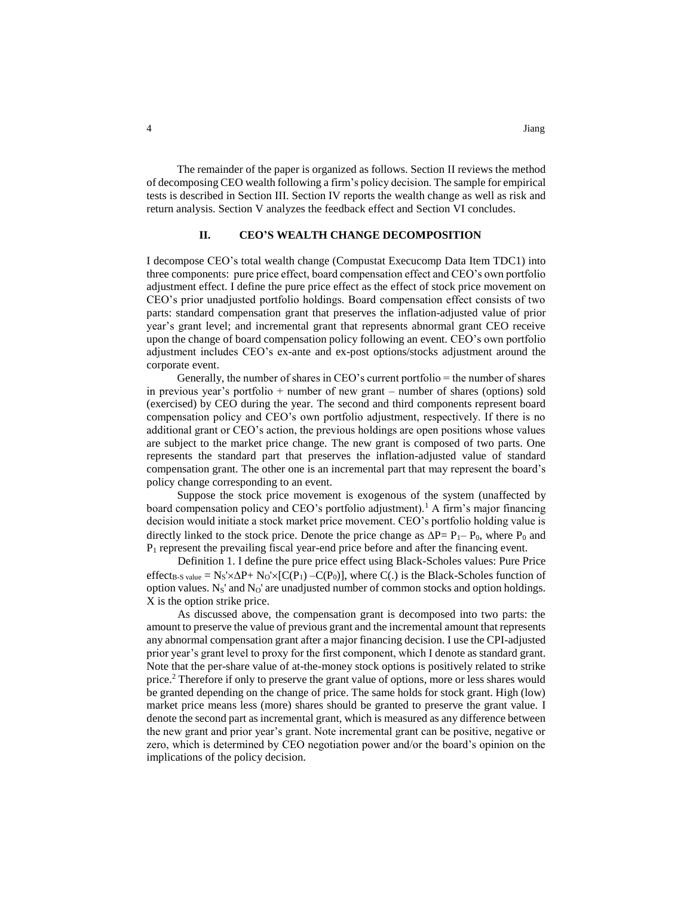The remainder of the paper is organized as follows. Section II reviews the method of decomposing CEO wealth following a firm's policy decision. The sample for empirical tests is described in Section III. Section IV reports the wealth change as well as risk and return analysis. Section V analyzes the feedback effect and Section VI concludes.

#### **II. CEO'S WEALTH CHANGE DECOMPOSITION**

I decompose CEO's total wealth change (Compustat Execucomp Data Item TDC1) into three components: pure price effect, board compensation effect and CEO's own portfolio adjustment effect. I define the pure price effect as the effect of stock price movement on CEO's prior unadjusted portfolio holdings. Board compensation effect consists of two parts: standard compensation grant that preserves the inflation-adjusted value of prior year's grant level; and incremental grant that represents abnormal grant CEO receive upon the change of board compensation policy following an event. CEO's own portfolio adjustment includes CEO's ex-ante and ex-post options/stocks adjustment around the corporate event.

Generally, the number of shares in CEO's current portfolio  $=$  the number of shares in previous year's portfolio + number of new grant – number of shares (options) sold (exercised) by CEO during the year. The second and third components represent board compensation policy and CEO's own portfolio adjustment, respectively. If there is no additional grant or CEO's action, the previous holdings are open positions whose values are subject to the market price change. The new grant is composed of two parts. One represents the standard part that preserves the inflation-adjusted value of standard compensation grant. The other one is an incremental part that may represent the board's policy change corresponding to an event.

Suppose the stock price movement is exogenous of the system (unaffected by board compensation policy and CEO's portfolio adjustment).<sup>1</sup> A firm's major financing decision would initiate a stock market price movement. CEO's portfolio holding value is directly linked to the stock price. Denote the price change as  $\Delta P = P_1 - P_0$ , where  $P_0$  and P<sub>1</sub> represent the prevailing fiscal year-end price before and after the financing event.

Definition 1. I define the pure price effect using Black-Scholes values: Pure Price effect<sub>B-S value</sub> = N<sub>S</sub>' $\times\Delta P$ + N<sub>O</sub>' $\times$ [C(P<sub>1</sub>) –C(P<sub>0</sub>)], where C(.) is the Black-Scholes function of option values.  $N_S'$  and  $N_O'$  are unadjusted number of common stocks and option holdings. X is the option strike price.

As discussed above, the compensation grant is decomposed into two parts: the amount to preserve the value of previous grant and the incremental amount that represents any abnormal compensation grant after a major financing decision. I use the CPI-adjusted prior year's grant level to proxy for the first component, which I denote as standard grant. Note that the per-share value of at-the-money stock options is positively related to strike price.<sup>2</sup> Therefore if only to preserve the grant value of options, more or less shares would be granted depending on the change of price. The same holds for stock grant. High (low) market price means less (more) shares should be granted to preserve the grant value. I denote the second part as incremental grant, which is measured as any difference between the new grant and prior year's grant. Note incremental grant can be positive, negative or zero, which is determined by CEO negotiation power and/or the board's opinion on the implications of the policy decision.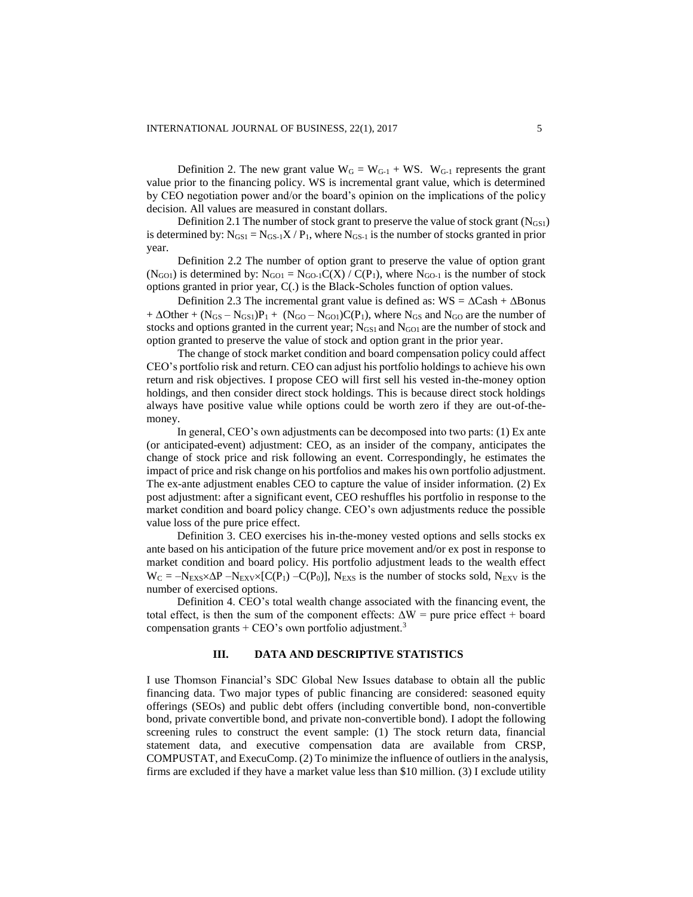Definition 2. The new grant value  $W_G = W_{G-1} + WS$ .  $W_{G-1}$  represents the grant value prior to the financing policy. WS is incremental grant value, which is determined by CEO negotiation power and/or the board's opinion on the implications of the policy decision. All values are measured in constant dollars.

Definition 2.1 The number of stock grant to preserve the value of stock grant  $(N_{GS1})$ is determined by:  $N_{GS1} = N_{GS-1}X/P_1$ , where  $N_{GS-1}$  is the number of stocks granted in prior year.

Definition 2.2 The number of option grant to preserve the value of option grant (N<sub>GO1</sub>) is determined by:  $N_{G01} = N_{G0-1}C(X) / C(P_1)$ , where N<sub>GO-1</sub> is the number of stock options granted in prior year, C(.) is the Black-Scholes function of option values.

Definition 2.3 The incremental grant value is defined as:  $WS = \Delta Cash + \Delta Bonds$ +  $\Delta$ Other + (N<sub>GS</sub> – N<sub>GS1</sub>)P<sub>1</sub> + (N<sub>GO</sub> – N<sub>GO1</sub>)C(P<sub>1</sub>), where N<sub>GS</sub> and N<sub>GO</sub> are the number of stocks and options granted in the current year;  $N_{GS1}$  and  $N_{GO1}$  are the number of stock and option granted to preserve the value of stock and option grant in the prior year.

The change of stock market condition and board compensation policy could affect CEO's portfolio risk and return. CEO can adjust his portfolio holdings to achieve his own return and risk objectives. I propose CEO will first sell his vested in-the-money option holdings, and then consider direct stock holdings. This is because direct stock holdings always have positive value while options could be worth zero if they are out-of-themoney.

In general, CEO's own adjustments can be decomposed into two parts: (1) Ex ante (or anticipated-event) adjustment: CEO, as an insider of the company, anticipates the change of stock price and risk following an event. Correspondingly, he estimates the impact of price and risk change on his portfolios and makes his own portfolio adjustment. The ex-ante adjustment enables CEO to capture the value of insider information. (2) Ex post adjustment: after a significant event, CEO reshuffles his portfolio in response to the market condition and board policy change. CEO's own adjustments reduce the possible value loss of the pure price effect.

Definition 3. CEO exercises his in-the-money vested options and sells stocks ex ante based on his anticipation of the future price movement and/or ex post in response to market condition and board policy. His portfolio adjustment leads to the wealth effect  $W_C = -N_{EXS} \times \Delta P - N_{EXV} \times [C(P_1) - C(P_0)],$  N<sub>EXS</sub> is the number of stocks sold, N<sub>EXV</sub> is the number of exercised options.

Definition 4. CEO's total wealth change associated with the financing event, the total effect, is then the sum of the component effects:  $\Delta W$  = pure price effect + board compensation grants  $+$  CEO's own portfolio adjustment.<sup>3</sup>

#### **III. DATA AND DESCRIPTIVE STATISTICS**

I use Thomson Financial's SDC Global New Issues database to obtain all the public financing data. Two major types of public financing are considered: seasoned equity offerings (SEOs) and public debt offers (including convertible bond, non-convertible bond, private convertible bond, and private non-convertible bond). I adopt the following screening rules to construct the event sample: (1) The stock return data, financial statement data, and executive compensation data are available from CRSP, COMPUSTAT, and ExecuComp. (2) To minimize the influence of outliers in the analysis, firms are excluded if they have a market value less than \$10 million. (3) I exclude utility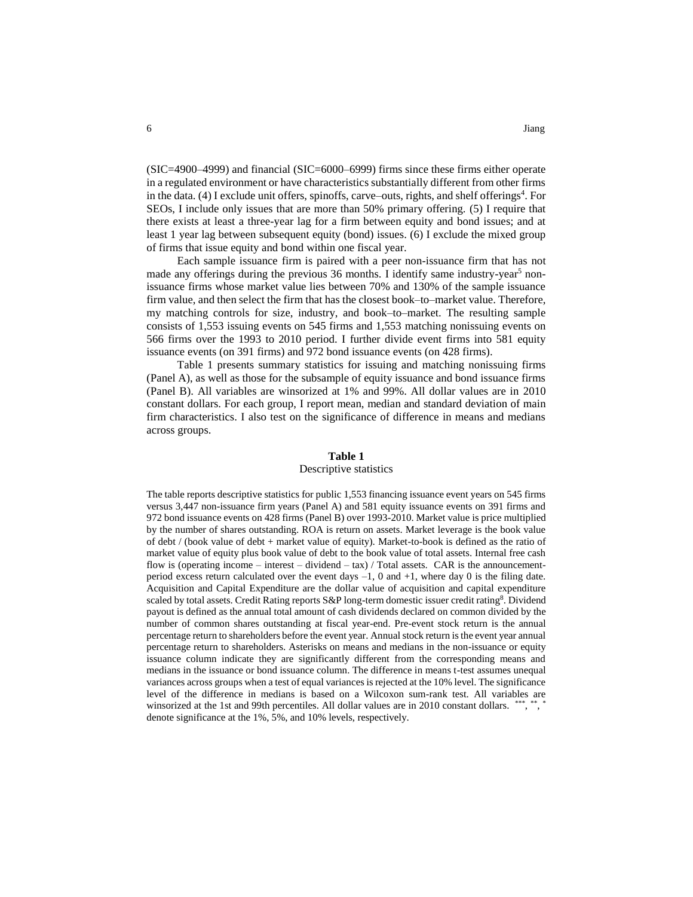(SIC=4900–4999) and financial (SIC=6000–6999) firms since these firms either operate in a regulated environment or have characteristics substantially different from other firms in the data. (4) I exclude unit offers, spinoffs, carve–outs, rights, and shelf offerings<sup>4</sup>. For SEOs, I include only issues that are more than 50% primary offering. (5) I require that there exists at least a three-year lag for a firm between equity and bond issues; and at least 1 year lag between subsequent equity (bond) issues. (6) I exclude the mixed group of firms that issue equity and bond within one fiscal year.

Each sample issuance firm is paired with a peer non-issuance firm that has not made any offerings during the previous 36 months. I identify same industry-year<sup>5</sup> nonissuance firms whose market value lies between 70% and 130% of the sample issuance firm value, and then select the firm that has the closest book–to–market value. Therefore, my matching controls for size, industry, and book–to–market. The resulting sample consists of 1,553 issuing events on 545 firms and 1,553 matching nonissuing events on 566 firms over the 1993 to 2010 period. I further divide event firms into 581 equity issuance events (on 391 firms) and 972 bond issuance events (on 428 firms).

Table 1 presents summary statistics for issuing and matching nonissuing firms (Panel A), as well as those for the subsample of equity issuance and bond issuance firms (Panel B). All variables are winsorized at 1% and 99%. All dollar values are in 2010 constant dollars. For each group, I report mean, median and standard deviation of main firm characteristics. I also test on the significance of difference in means and medians across groups.

#### **Table 1**

#### Descriptive statistics

The table reports descriptive statistics for public 1,553 financing issuance event years on 545 firms versus 3,447 non-issuance firm years (Panel A) and 581 equity issuance events on 391 firms and 972 bond issuance events on 428 firms (Panel B) over 1993-2010. Market value is price multiplied by the number of shares outstanding. ROA is return on assets. Market leverage is the book value of debt / (book value of debt + market value of equity). Market-to-book is defined as the ratio of market value of equity plus book value of debt to the book value of total assets. Internal free cash flow is (operating income – interest – dividend – tax) / Total assets. CAR is the announcementperiod excess return calculated over the event days  $-1$ , 0 and  $+1$ , where day 0 is the filing date. Acquisition and Capital Expenditure are the dollar value of acquisition and capital expenditure scaled by total assets. Credit Rating reports S&P long-term domestic issuer credit rating8. Dividend payout is defined as the annual total amount of cash dividends declared on common divided by the number of common shares outstanding at fiscal year-end. Pre-event stock return is the annual percentage return to shareholders before the event year. Annual stock return is the event year annual percentage return to shareholders. Asterisks on means and medians in the non-issuance or equity issuance column indicate they are significantly different from the corresponding means and medians in the issuance or bond issuance column. The difference in means t-test assumes unequal variances across groups when a test of equal variances is rejected at the 10% level. The significance level of the difference in medians is based on a Wilcoxon sum-rank test. All variables are winsorized at the 1st and 99th percentiles. All dollar values are in 2010 constant dollars. \*\*\*, \*\*, \* denote significance at the 1%, 5%, and 10% levels, respectively.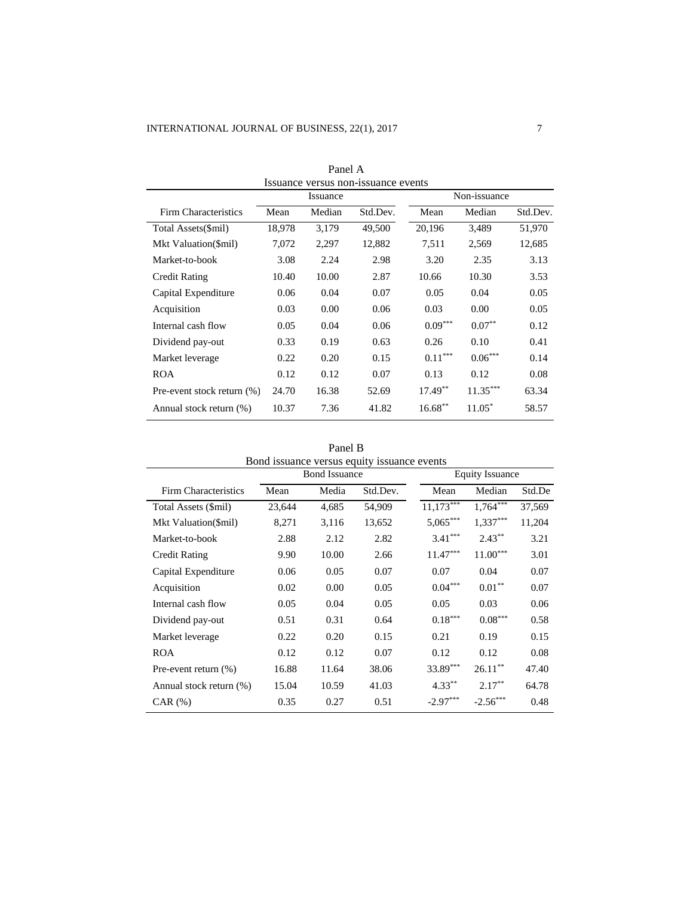| Panel A                             |        |        |          |            |              |          |  |
|-------------------------------------|--------|--------|----------|------------|--------------|----------|--|
| Issuance versus non-issuance events |        |        |          |            |              |          |  |
| Issuance                            |        |        |          |            | Non-issuance |          |  |
| Firm Characteristics                | Mean   | Median | Std.Dev. | Mean       | Median       | Std.Dev. |  |
| Total Assets(\$mil)                 | 18,978 | 3,179  | 49,500   | 20,196     | 3,489        | 51,970   |  |
| Mkt Valuation(\$mil)                | 7,072  | 2,297  | 12,882   | 7,511      | 2,569        | 12,685   |  |
| Market-to-book                      | 3.08   | 2.24   | 2.98     | 3.20       | 2.35         | 3.13     |  |
| <b>Credit Rating</b>                | 10.40  | 10.00  | 2.87     | 10.66      | 10.30        | 3.53     |  |
| Capital Expenditure                 | 0.06   | 0.04   | 0.07     | 0.05       | 0.04         | 0.05     |  |
| Acquisition                         | 0.03   | 0.00   | 0.06     | 0.03       | 0.00         | 0.05     |  |
| Internal cash flow                  | 0.05   | 0.04   | 0.06     | $0.09***$  | $0.07**$     | 0.12     |  |
| Dividend pay-out                    | 0.33   | 0.19   | 0.63     | 0.26       | 0.10         | 0.41     |  |
| Market leverage                     | 0.22   | 0.20   | 0.15     | $0.11***$  | $0.06***$    | 0.14     |  |
| <b>ROA</b>                          | 0.12   | 0.12   | 0.07     | 0.13       | 0.12         | 0.08     |  |
| Pre-event stock return (%)          | 24.70  | 16.38  | 52.69    | $17.49***$ | $11.35***$   | 63.34    |  |
| Annual stock return (%)             | 10.37  | 7.36   | 41.82    | $16.68***$ | $11.05*$     | 58.57    |  |

Panel B Bond issuance versus equity issuance events Bond Issuance Equity Issuance Firm Characteristics Mean Media 4,685 Std.Dev. Mean Median Std.De Total Assets (\$mil) 23,644 4,685 54,909 11,173\*\*\* 1,764\*\*\* 37,569  $1,764***$ Mkt Valuation(\$mil) 8,271 3,116 13,652 5,065\*\*\* 1,337\*\*\* 11,204 Market-to-book 2.88 2.12 2.82 3.41<sup>\*\*\*</sup>  $2.43***$  3.21 Credit Rating 9.90 10.00 2.66 11.47\*\*\* 11.00\*\*\* 3.01 Capital Expenditure 0.06 0.05 0.07 0.07 0.04 0.07 Acquisition 0.02 0.00 0.05 0.04\*\*\*  $0.01**$  0.07 Internal cash flow 0.05 0.04 0.05 0.05 0.03 0.06 Dividend pay-out  $0.51$   $0.31$   $0.64$   $0.18***$   $0.08***$  0.58 Market leverage 0.22 0.20 0.15 0.21 0.19 0.15 ROA 0.12 0.12 0.07 0.12 0.12 0.08 Pre-event return (%) 16.88 11.64 38.06 33.89\*\*\* 26.11\*\* 47.40 Annual stock return (%) 15.04 10.59 41.03 4.33<sup>\*\*</sup> 2.17\*\* 64.78 CAR  $(\%)$  0.35 0.27 0.51 -2.97<sup>\*\*\*</sup>  $-2.56***$ 0.48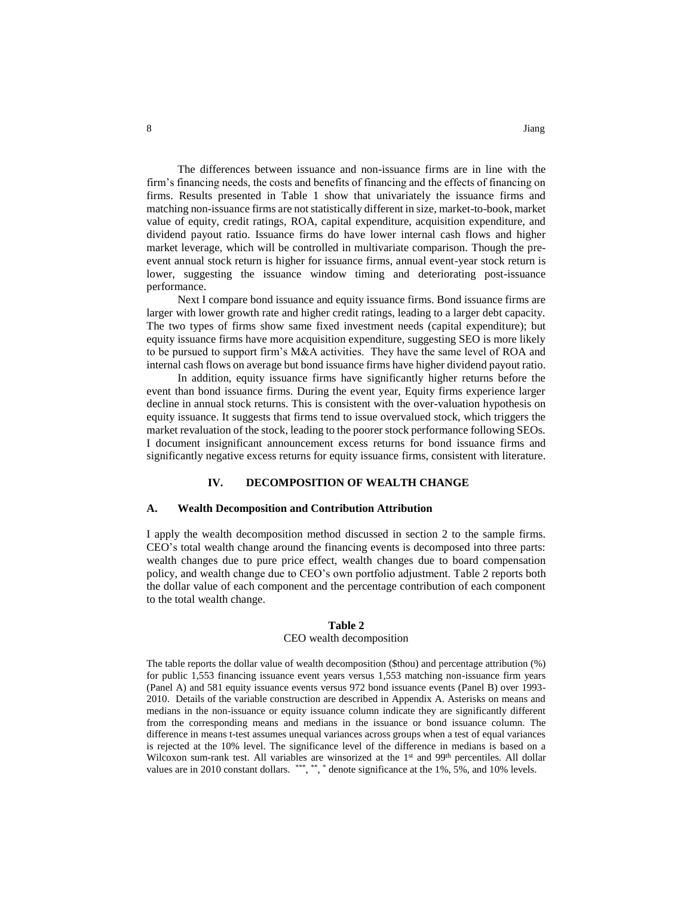The differences between issuance and non-issuance firms are in line with the firm's financing needs, the costs and benefits of financing and the effects of financing on firms. Results presented in Table 1 show that univariately the issuance firms and matching non-issuance firms are not statistically different in size, market-to-book, market value of equity, credit ratings, ROA, capital expenditure, acquisition expenditure, and dividend payout ratio. Issuance firms do have lower internal cash flows and higher market leverage, which will be controlled in multivariate comparison. Though the preevent annual stock return is higher for issuance firms, annual event-year stock return is lower, suggesting the issuance window timing and deteriorating post-issuance

Next I compare bond issuance and equity issuance firms. Bond issuance firms are larger with lower growth rate and higher credit ratings, leading to a larger debt capacity. The two types of firms show same fixed investment needs (capital expenditure); but equity issuance firms have more acquisition expenditure, suggesting SEO is more likely to be pursued to support firm's M&A activities. They have the same level of ROA and internal cash flows on average but bond issuance firms have higher dividend payout ratio.

In addition, equity issuance firms have significantly higher returns before the event than bond issuance firms. During the event year, Equity firms experience larger decline in annual stock returns. This is consistent with the over-valuation hypothesis on equity issuance. It suggests that firms tend to issue overvalued stock, which triggers the market revaluation of the stock, leading to the poorer stock performance following SEOs. I document insignificant announcement excess returns for bond issuance firms and significantly negative excess returns for equity issuance firms, consistent with literature.

## **IV. DECOMPOSITION OF WEALTH CHANGE**

## **A. Wealth Decomposition and Contribution Attribution**

I apply the wealth decomposition method discussed in section 2 to the sample firms. CEO's total wealth change around the financing events is decomposed into three parts: wealth changes due to pure price effect, wealth changes due to board compensation policy, and wealth change due to CEO's own portfolio adjustment. Table 2 reports both the dollar value of each component and the percentage contribution of each component to the total wealth change.

#### **Table 2**

#### CEO wealth decomposition

The table reports the dollar value of wealth decomposition (\$thou) and percentage attribution (%) for public 1,553 financing issuance event years versus 1,553 matching non-issuance firm years (Panel A) and 581 equity issuance events versus 972 bond issuance events (Panel B) over 1993- 2010. Details of the variable construction are described in Appendix A. Asterisks on means and medians in the non-issuance or equity issuance column indicate they are significantly different from the corresponding means and medians in the issuance or bond issuance column. The difference in means t-test assumes unequal variances across groups when a test of equal variances is rejected at the 10% level. The significance level of the difference in medians is based on a Wilcoxon sum-rank test. All variables are winsorized at the  $1<sup>st</sup>$  and 99<sup>th</sup> percentiles. All dollar values are in 2010 constant dollars. \*\*\*, \*\*, \* denote significance at the 1%, 5%, and 10% levels.

performance.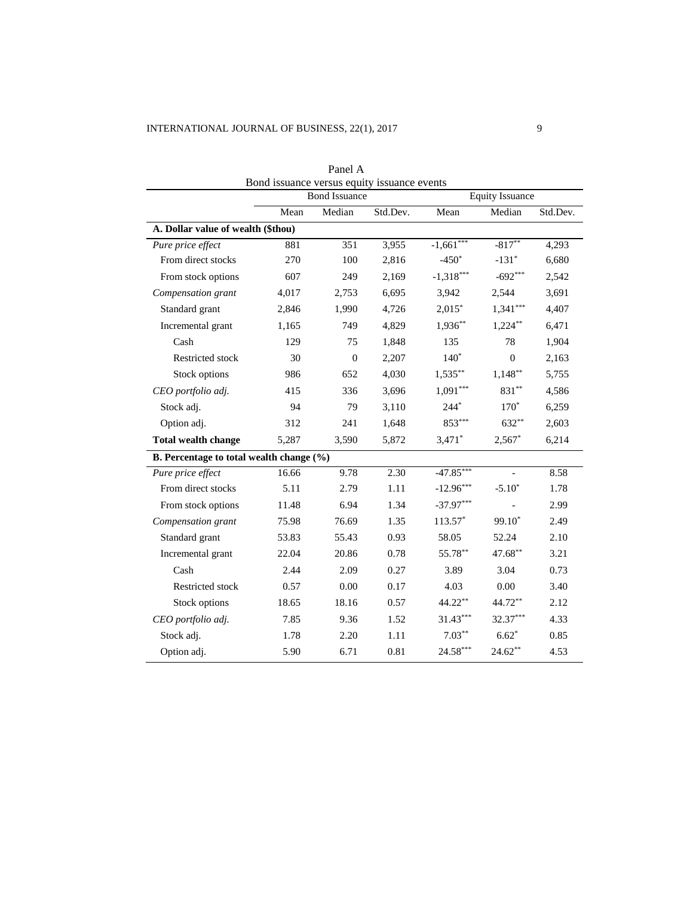| Bond issuance versus equity issuance events |       |                      |          |             |                        |          |  |
|---------------------------------------------|-------|----------------------|----------|-------------|------------------------|----------|--|
|                                             |       | <b>Bond Issuance</b> |          |             | <b>Equity Issuance</b> |          |  |
|                                             | Mean  | Median               | Std.Dev. | Mean        | Median                 | Std.Dev. |  |
| A. Dollar value of wealth (\$thou)          |       |                      |          |             |                        |          |  |
| Pure price effect                           | 881   | 351                  | 3,955    | $-1,661***$ | $-817**$               | 4,293    |  |
| From direct stocks                          | 270   | 100                  | 2,816    | $-450*$     | $-131*$                | 6,680    |  |
| From stock options                          | 607   | 249                  | 2,169    | $-1,318***$ | $-692***$              | 2,542    |  |
| Compensation grant                          | 4,017 | 2,753                | 6,695    | 3,942       | 2,544                  | 3,691    |  |
| Standard grant                              | 2,846 | 1,990                | 4,726    | $2,015*$    | $1,341***$             | 4,407    |  |
| Incremental grant                           | 1,165 | 749                  | 4,829    | $1,936**$   | $1,224***$             | 6,471    |  |
| Cash                                        | 129   | 75                   | 1,848    | 135         | 78                     | 1,904    |  |
| Restricted stock                            | 30    | $\overline{0}$       | 2,207    | $140*$      | $\theta$               | 2,163    |  |
| Stock options                               | 986   | 652                  | 4,030    | $1,535***$  | $1,148**$              | 5,755    |  |
| CEO portfolio adj.                          | 415   | 336                  | 3,696    | $1,091***$  | $831**$                | 4,586    |  |
| Stock adj.                                  | 94    | 79                   | 3,110    | $244*$      | $170*$                 | 6,259    |  |
| Option adj.                                 | 312   | 241                  | 1,648    | $853***$    | $632***$               | 2,603    |  |
| <b>Total wealth change</b>                  | 5,287 | 3,590                | 5,872    | $3,471$ *   | $2,567$ *              | 6,214    |  |
| B. Percentage to total wealth change (%)    |       |                      |          |             |                        |          |  |
| Pure price effect                           | 16.66 | 9.78                 | 2.30     | $-47.85***$ | $\overline{a}$         | 8.58     |  |
| From direct stocks                          | 5.11  | 2.79                 | 1.11     | $-12.96***$ | $-5.10*$               | 1.78     |  |
| From stock options                          | 11.48 | 6.94                 | 1.34     | $-37.97***$ |                        | 2.99     |  |
| Compensation grant                          | 75.98 | 76.69                | 1.35     | 113.57*     | $99.10*$               | 2.49     |  |
| Standard grant                              | 53.83 | 55.43                | 0.93     | 58.05       | 52.24                  | 2.10     |  |
| Incremental grant                           | 22.04 | 20.86                | 0.78     | 55.78**     | 47.68**                | 3.21     |  |
| Cash                                        | 2.44  | 2.09                 | 0.27     | 3.89        | 3.04                   | 0.73     |  |
| Restricted stock                            | 0.57  | 0.00                 | 0.17     | 4.03        | 0.00                   | 3.40     |  |
| Stock options                               | 18.65 | 18.16                | 0.57     | 44.22**     | 44.72**                | 2.12     |  |
| CEO portfolio adj.                          | 7.85  | 9.36                 | 1.52     | $31.43***$  | 32.37***               | 4.33     |  |
| Stock adj.                                  | 1.78  | 2.20                 | 1.11     | $7.03***$   | $6.62*$                | 0.85     |  |
| Option adj.                                 | 5.90  | 6.71                 | 0.81     | $24.58***$  | $24.62**$              | 4.53     |  |

Panel A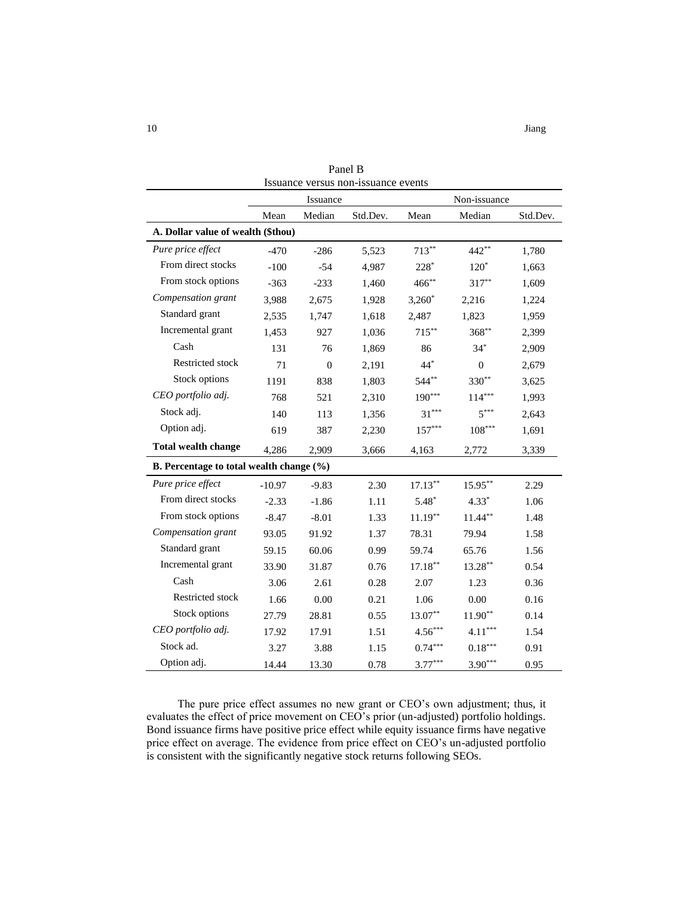| Issuance versus non-issuance events      |          |                |          |            |                |          |  |
|------------------------------------------|----------|----------------|----------|------------|----------------|----------|--|
|                                          | Issuance |                |          |            | Non-issuance   |          |  |
|                                          | Mean     | Median         | Std.Dev. | Mean       | Median         | Std.Dev. |  |
| A. Dollar value of wealth (\$thou)       |          |                |          |            |                |          |  |
| Pure price effect                        | $-470$   | $-286$         | 5,523    | $713***$   | 442**          | 1,780    |  |
| From direct stocks                       | $-100$   | $-54$          | 4,987    | $228*$     | $120^*$        | 1,663    |  |
| From stock options                       | $-363$   | $-233$         | 1,460    | $466^{**}$ | $317***$       | 1,609    |  |
| Compensation grant                       | 3,988    | 2,675          | 1,928    | $3,260^*$  | 2,216          | 1,224    |  |
| Standard grant                           | 2,535    | 1,747          | 1,618    | 2,487      | 1,823          | 1,959    |  |
| Incremental grant                        | 1,453    | 927            | 1,036    | $715***$   | $368^{**}$     | 2,399    |  |
| Cash                                     | 131      | 76             | 1,869    | 86         | $34*$          | 2,909    |  |
| Restricted stock                         | 71       | $\overline{0}$ | 2,191    | $44*$      | $\overline{0}$ | 2,679    |  |
| Stock options                            | 1191     | 838            | 1,803    | $544***$   | 330**          | 3,625    |  |
| CEO portfolio adj.                       | 768      | 521            | 2,310    | $190***$   | $114***$       | 1,993    |  |
| Stock adj.                               | 140      | 113            | 1,356    | $31***$    | $5***$         | 2,643    |  |
| Option adj.                              | 619      | 387            | 2,230    | $157***$   | $108***$       | 1,691    |  |
| <b>Total wealth change</b>               | 4,286    | 2,909          | 3,666    | 4,163      | 2,772          | 3,339    |  |
| B. Percentage to total wealth change (%) |          |                |          |            |                |          |  |
| Pure price effect                        | $-10.97$ | $-9.83$        | 2.30     | $17.13***$ | $15.95***$     | 2.29     |  |
| From direct stocks                       | $-2.33$  | $-1.86$        | 1.11     | $5.48*$    | $4.33*$        | 1.06     |  |
| From stock options                       | $-8.47$  | $-8.01$        | 1.33     | $11.19***$ | $11.44***$     | 1.48     |  |
| Compensation grant                       | 93.05    | 91.92          | 1.37     | 78.31      | 79.94          | 1.58     |  |
| Standard grant                           | 59.15    | 60.06          | 0.99     | 59.74      | 65.76          | 1.56     |  |
| Incremental grant                        | 33.90    | 31.87          | 0.76     | $17.18***$ | $13.28***$     | 0.54     |  |
| Cash                                     | 3.06     | 2.61           | 0.28     | 2.07       | 1.23           | 0.36     |  |
| Restricted stock                         | 1.66     | 0.00           | 0.21     | 1.06       | 0.00           | 0.16     |  |
| Stock options                            | 27.79    | 28.81          | 0.55     | $13.07**$  | $11.90**$      | 0.14     |  |
| CEO portfolio adj.                       | 17.92    | 17.91          | 1.51     | $4.56***$  | $4.11***$      | 1.54     |  |
| Stock ad.                                | 3.27     | 3.88           | 1.15     | $0.74***$  | $0.18***$      | 0.91     |  |
| Option adj.                              | 14.44    | 13.30          | 0.78     | $3.77***$  | $3.90***$      | 0.95     |  |

Panel B Issuance versus non-issuance events

The pure price effect assumes no new grant or CEO's own adjustment; thus, it evaluates the effect of price movement on CEO's prior (un-adjusted) portfolio holdings. Bond issuance firms have positive price effect while equity issuance firms have negative price effect on average. The evidence from price effect on CEO's un-adjusted portfolio is consistent with the significantly negative stock returns following SEOs.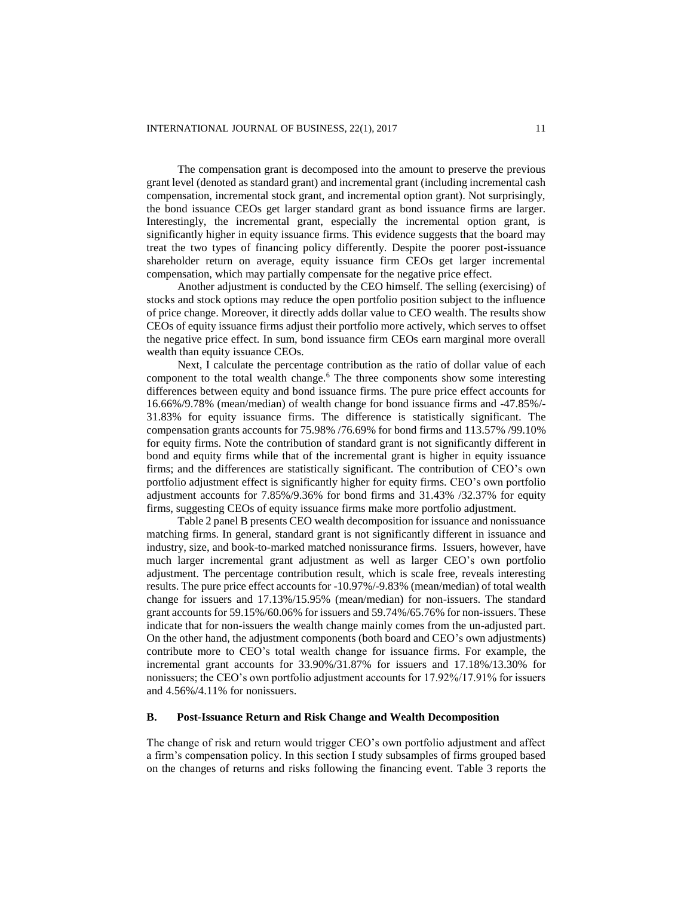The compensation grant is decomposed into the amount to preserve the previous grant level (denoted as standard grant) and incremental grant (including incremental cash compensation, incremental stock grant, and incremental option grant). Not surprisingly, the bond issuance CEOs get larger standard grant as bond issuance firms are larger. Interestingly, the incremental grant, especially the incremental option grant, is significantly higher in equity issuance firms. This evidence suggests that the board may treat the two types of financing policy differently. Despite the poorer post-issuance shareholder return on average, equity issuance firm CEOs get larger incremental compensation, which may partially compensate for the negative price effect.

Another adjustment is conducted by the CEO himself. The selling (exercising) of stocks and stock options may reduce the open portfolio position subject to the influence of price change. Moreover, it directly adds dollar value to CEO wealth. The results show CEOs of equity issuance firms adjust their portfolio more actively, which serves to offset the negative price effect. In sum, bond issuance firm CEOs earn marginal more overall wealth than equity issuance CEOs.

Next, I calculate the percentage contribution as the ratio of dollar value of each component to the total wealth change.<sup>6</sup> The three components show some interesting differences between equity and bond issuance firms. The pure price effect accounts for 16.66%/9.78% (mean/median) of wealth change for bond issuance firms and -47.85%/- 31.83% for equity issuance firms. The difference is statistically significant. The compensation grants accounts for 75.98% /76.69% for bond firms and 113.57% /99.10% for equity firms. Note the contribution of standard grant is not significantly different in bond and equity firms while that of the incremental grant is higher in equity issuance firms; and the differences are statistically significant. The contribution of CEO's own portfolio adjustment effect is significantly higher for equity firms. CEO's own portfolio adjustment accounts for 7.85%/9.36% for bond firms and 31.43% /32.37% for equity firms, suggesting CEOs of equity issuance firms make more portfolio adjustment.

Table 2 panel B presents CEO wealth decomposition for issuance and nonissuance matching firms. In general, standard grant is not significantly different in issuance and industry, size, and book-to-marked matched nonissurance firms. Issuers, however, have much larger incremental grant adjustment as well as larger CEO's own portfolio adjustment. The percentage contribution result, which is scale free, reveals interesting results. The pure price effect accounts for -10.97%/-9.83% (mean/median) of total wealth change for issuers and 17.13%/15.95% (mean/median) for non-issuers. The standard grant accounts for 59.15%/60.06% for issuers and 59.74%/65.76% for non-issuers. These indicate that for non-issuers the wealth change mainly comes from the un-adjusted part. On the other hand, the adjustment components (both board and CEO's own adjustments) contribute more to CEO's total wealth change for issuance firms. For example, the incremental grant accounts for 33.90%/31.87% for issuers and 17.18%/13.30% for nonissuers; the CEO's own portfolio adjustment accounts for 17.92%/17.91% for issuers and 4.56%/4.11% for nonissuers.

## **B. Post-Issuance Return and Risk Change and Wealth Decomposition**

The change of risk and return would trigger CEO's own portfolio adjustment and affect a firm's compensation policy. In this section I study subsamples of firms grouped based on the changes of returns and risks following the financing event. Table 3 reports the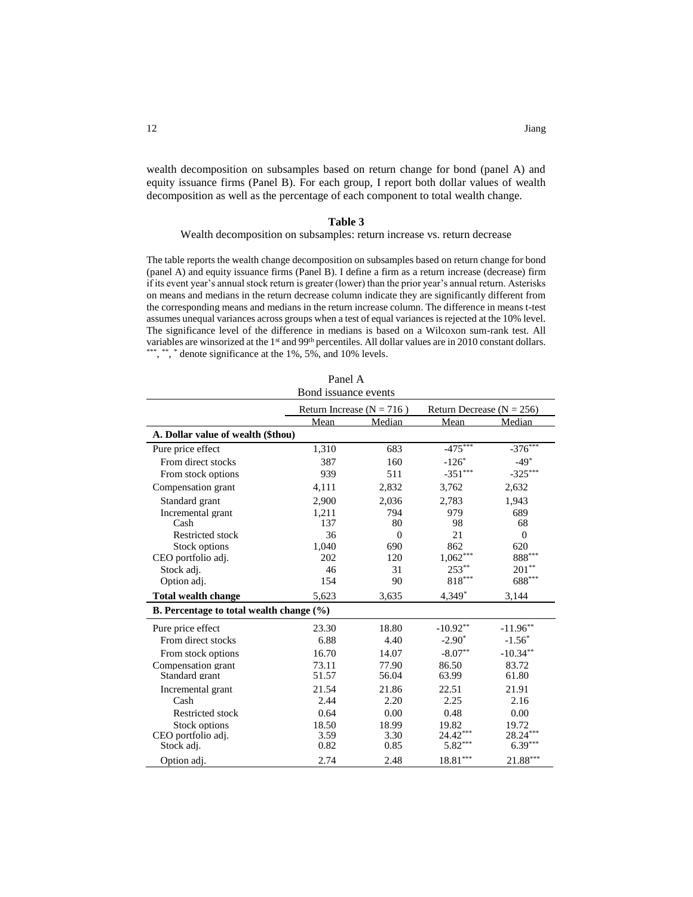wealth decomposition on subsamples based on return change for bond (panel A) and equity issuance firms (Panel B). For each group, I report both dollar values of wealth decomposition as well as the percentage of each component to total wealth change.

## **Table 3**

#### Wealth decomposition on subsamples: return increase vs. return decrease

The table reports the wealth change decomposition on subsamples based on return change for bond (panel A) and equity issuance firms (Panel B). I define a firm as a return increase (decrease) firm if its event year's annual stock return is greater (lower) than the prior year's annual return. Asterisks on means and medians in the return decrease column indicate they are significantly different from the corresponding means and medians in the return increase column. The difference in means t-test assumes unequal variances across groups when a test of equal variances is rejected at the 10% level. The significance level of the difference in medians is based on a Wilcoxon sum-rank test. All variables are winsorized at the 1<sup>st</sup> and 99<sup>th</sup> percentiles. All dollar values are in 2010 constant dollars. \*\*\*, \*\*, \* denote significance at the 1%, 5%, and 10% levels.

|                                          | Panel A<br>Bond issuance events                                |          |                      |                      |  |  |  |
|------------------------------------------|----------------------------------------------------------------|----------|----------------------|----------------------|--|--|--|
|                                          | Return Increase ( $N = 716$ )<br>Return Decrease ( $N = 256$ ) |          |                      |                      |  |  |  |
|                                          | Mean                                                           | Median   | Mean                 | Median               |  |  |  |
| A. Dollar value of wealth (\$thou)       |                                                                |          |                      |                      |  |  |  |
| Pure price effect                        | 1,310                                                          | 683      | $-475***$            | $-376***$            |  |  |  |
| From direct stocks                       | 387                                                            | 160      | $-126*$              | $-49*$               |  |  |  |
| From stock options                       | 939                                                            | 511      | $-351***$            | $-325***$            |  |  |  |
| Compensation grant                       | 4,111                                                          | 2,832    | 3,762                | 2,632                |  |  |  |
| Standard grant                           | 2,900                                                          | 2,036    | 2,783                | 1,943                |  |  |  |
| Incremental grant                        | 1,211                                                          | 794      | 979                  | 689                  |  |  |  |
| Cash                                     | 137                                                            | 80       | 98                   | 68                   |  |  |  |
| <b>Restricted stock</b>                  | 36                                                             | $\theta$ | 21                   | $\mathbf{0}$         |  |  |  |
| Stock options                            | 1,040                                                          | 690      | 862                  | 620                  |  |  |  |
| CEO portfolio adj.                       | 202                                                            | 120      | $1,062***$           | $\mathbf{888}^{***}$ |  |  |  |
| Stock adj.                               | 46                                                             | 31       | $253***$             | $201^{\ast\ast}$     |  |  |  |
| Option adi.                              | 154                                                            | 90       | $818^{\ast\ast\ast}$ | $688^{***}$          |  |  |  |
| <b>Total wealth change</b>               | 5,623                                                          | 3,635    | 4,349*               | 3,144                |  |  |  |
| B. Percentage to total wealth change (%) |                                                                |          |                      |                      |  |  |  |
| Pure price effect                        | 23.30                                                          | 18.80    | $-10.92**$           | $-11.96***$          |  |  |  |
| From direct stocks                       | 6.88                                                           | 4.40     | $-2.90^*$            | $-1.56*$             |  |  |  |
| From stock options                       | 16.70                                                          | 14.07    | $-8.07**$            | $-10.34**$           |  |  |  |
| Compensation grant                       | 73.11                                                          | 77.90    | 86.50                | 83.72                |  |  |  |
| Standard grant                           | 51.57                                                          | 56.04    | 63.99                | 61.80                |  |  |  |
| Incremental grant                        | 21.54                                                          | 21.86    | 22.51                | 21.91                |  |  |  |
| Cash                                     | 2.44                                                           | 2.20     | 2.25                 | 2.16                 |  |  |  |
| <b>Restricted stock</b>                  | 0.64                                                           | 0.00     | 0.48                 | 0.00                 |  |  |  |
| Stock options                            | 18.50                                                          | 18.99    | 19.82                | 19.72                |  |  |  |
| CEO portfolio adj.                       | 3.59                                                           | 3.30     | $24.42***$           | $28.24***$           |  |  |  |
| Stock adj.                               | 0.82                                                           | 0.85     | $5.82***$            | $6.39***$            |  |  |  |
| Option adj.                              | 2.74                                                           | 2.48     | $***$<br>18.81       | $21.88***$           |  |  |  |

| Panel A |  |
|---------|--|
|         |  |

 $\mathbf{r}$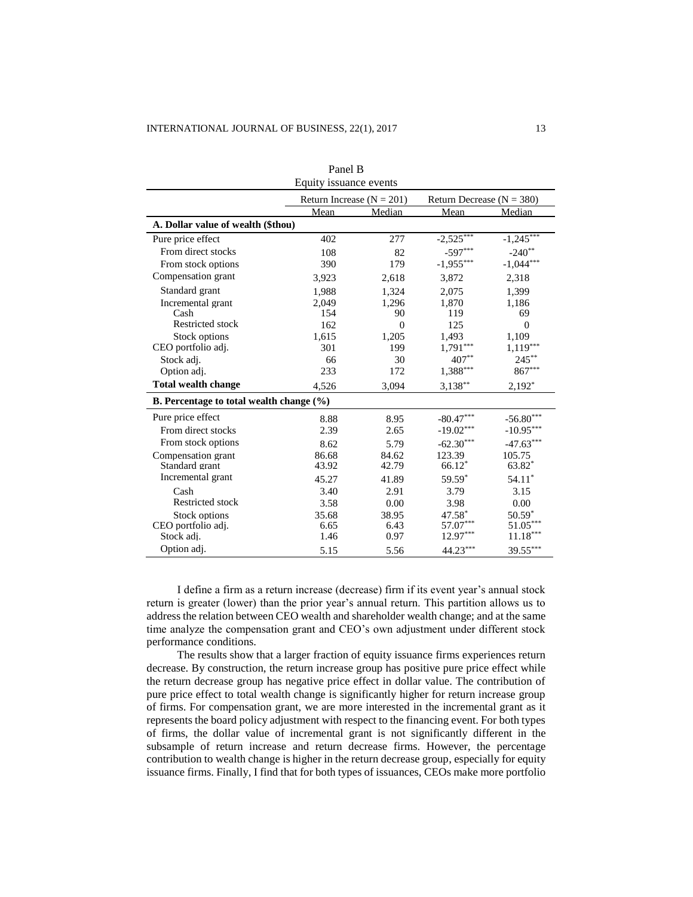| i anci D<br>Equity issuance events                 |       |                               |                             |                      |  |  |
|----------------------------------------------------|-------|-------------------------------|-----------------------------|----------------------|--|--|
|                                                    |       | Return Increase ( $N = 201$ ) | Return Decrease $(N = 380)$ |                      |  |  |
|                                                    | Mean  | Median                        | Mean                        | Median               |  |  |
| A. Dollar value of wealth (\$thou)                 |       |                               |                             |                      |  |  |
| Pure price effect                                  | 402   | 277                           | $-2,525$                    | $-1,245***$          |  |  |
| From direct stocks                                 | 108   | 82                            | $-597***$                   | $-240**$             |  |  |
| From stock options                                 | 390   | 179                           | $-1,955***$                 | $-1,044***$          |  |  |
| Compensation grant                                 | 3,923 | 2,618                         | 3,872                       | 2,318                |  |  |
| Standard grant                                     | 1,988 | 1,324                         | 2,075                       | 1,399                |  |  |
| Incremental grant                                  | 2,049 | 1,296                         | 1,870                       | 1,186                |  |  |
| Cash                                               | 154   | 90                            | 119                         | 69                   |  |  |
| Restricted stock                                   | 162   | $\overline{0}$                | 125                         | $\theta$             |  |  |
| Stock options                                      | 1,615 | 1,205                         | 1,493                       | 1,109                |  |  |
| CEO portfolio adj.                                 | 301   | 199                           | $1,791***$                  | $1,119***$           |  |  |
| Stock adj.                                         | 66    | 30                            | $407**$                     | $245***$             |  |  |
| Option adi.                                        | 233   | 172                           | $1,388***$                  | $867^{\ast\ast\ast}$ |  |  |
| <b>Total wealth change</b>                         | 4,526 | 3,094                         | $3,138***$                  | $2,192*$             |  |  |
| <b>B.</b> Percentage to total wealth change $(\%)$ |       |                               |                             |                      |  |  |
| Pure price effect                                  | 8.88  | 8.95                          | $-80.47***$                 | $-56.80***$          |  |  |
| From direct stocks                                 | 2.39  | 2.65                          | $-19.02***$                 | $-10.95***$          |  |  |
| From stock options                                 | 8.62  | 5.79                          | $-62.30***$                 | $-47.63***$          |  |  |
| Compensation grant                                 | 86.68 | 84.62                         | 123.39                      | 105.75               |  |  |
| Standard grant                                     | 43.92 | 42.79                         | $66.12*$                    | $63.82*$             |  |  |
| Incremental grant                                  | 45.27 | 41.89                         | 59.59*                      | $54.11*$             |  |  |
| Cash                                               | 3.40  | 2.91                          | 3.79                        | 3.15                 |  |  |
| <b>Restricted stock</b>                            | 3.58  | 0.00                          | 3.98                        | 0.00                 |  |  |
| Stock options                                      | 35.68 | 38.95                         | 47.58*                      | $50.59*$             |  |  |
| CEO portfolio adj.                                 | 6.65  | 6.43                          | 57.07***                    | $51.05***$           |  |  |
| Stock adj.                                         | 1.46  | 0.97                          | $12.97***$                  | $11.18***$           |  |  |
| Option adj.                                        | 5.15  | 5.56                          | 44.23***                    | 39.55***             |  |  |

Panel B

I define a firm as a return increase (decrease) firm if its event year's annual stock return is greater (lower) than the prior year's annual return. This partition allows us to address the relation between CEO wealth and shareholder wealth change; and at the same time analyze the compensation grant and CEO's own adjustment under different stock performance conditions.

The results show that a larger fraction of equity issuance firms experiences return decrease. By construction, the return increase group has positive pure price effect while the return decrease group has negative price effect in dollar value. The contribution of pure price effect to total wealth change is significantly higher for return increase group of firms. For compensation grant, we are more interested in the incremental grant as it represents the board policy adjustment with respect to the financing event. For both types of firms, the dollar value of incremental grant is not significantly different in the subsample of return increase and return decrease firms. However, the percentage contribution to wealth change is higher in the return decrease group, especially for equity issuance firms. Finally, I find that for both types of issuances, CEOs make more portfolio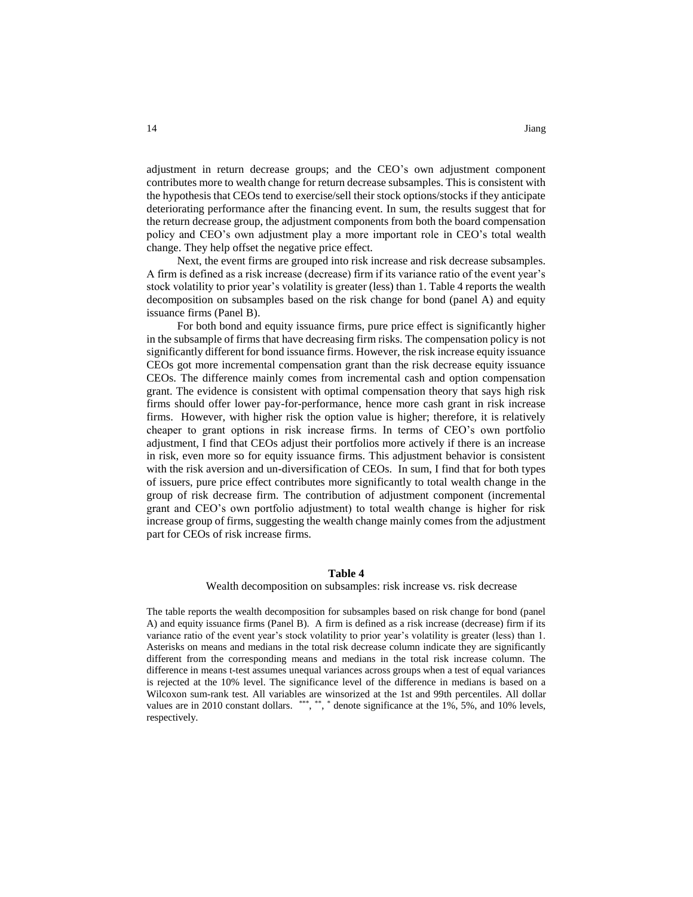adjustment in return decrease groups; and the CEO's own adjustment component contributes more to wealth change for return decrease subsamples. This is consistent with the hypothesis that CEOs tend to exercise/sell their stock options/stocks if they anticipate deteriorating performance after the financing event. In sum, the results suggest that for the return decrease group, the adjustment components from both the board compensation policy and CEO's own adjustment play a more important role in CEO's total wealth change. They help offset the negative price effect.

Next, the event firms are grouped into risk increase and risk decrease subsamples. A firm is defined as a risk increase (decrease) firm if its variance ratio of the event year's stock volatility to prior year's volatility is greater (less) than 1. Table 4 reports the wealth decomposition on subsamples based on the risk change for bond (panel A) and equity issuance firms (Panel B).

For both bond and equity issuance firms, pure price effect is significantly higher in the subsample of firms that have decreasing firm risks. The compensation policy is not significantly different for bond issuance firms. However, the risk increase equity issuance CEOs got more incremental compensation grant than the risk decrease equity issuance CEOs. The difference mainly comes from incremental cash and option compensation grant. The evidence is consistent with optimal compensation theory that says high risk firms should offer lower pay-for-performance, hence more cash grant in risk increase firms. However, with higher risk the option value is higher; therefore, it is relatively cheaper to grant options in risk increase firms. In terms of CEO's own portfolio adjustment, I find that CEOs adjust their portfolios more actively if there is an increase in risk, even more so for equity issuance firms. This adjustment behavior is consistent with the risk aversion and un-diversification of CEOs. In sum, I find that for both types of issuers, pure price effect contributes more significantly to total wealth change in the group of risk decrease firm. The contribution of adjustment component (incremental grant and CEO's own portfolio adjustment) to total wealth change is higher for risk increase group of firms, suggesting the wealth change mainly comes from the adjustment part for CEOs of risk increase firms.

#### **Table 4**

#### Wealth decomposition on subsamples: risk increase vs. risk decrease

The table reports the wealth decomposition for subsamples based on risk change for bond (panel A) and equity issuance firms (Panel B). A firm is defined as a risk increase (decrease) firm if its variance ratio of the event year's stock volatility to prior year's volatility is greater (less) than 1. Asterisks on means and medians in the total risk decrease column indicate they are significantly different from the corresponding means and medians in the total risk increase column. The difference in means t-test assumes unequal variances across groups when a test of equal variances is rejected at the 10% level. The significance level of the difference in medians is based on a Wilcoxon sum-rank test. All variables are winsorized at the 1st and 99th percentiles. All dollar values are in 2010 constant dollars. \*\*\*, \*\*, \* denote significance at the 1%, 5%, and 10% levels, respectively.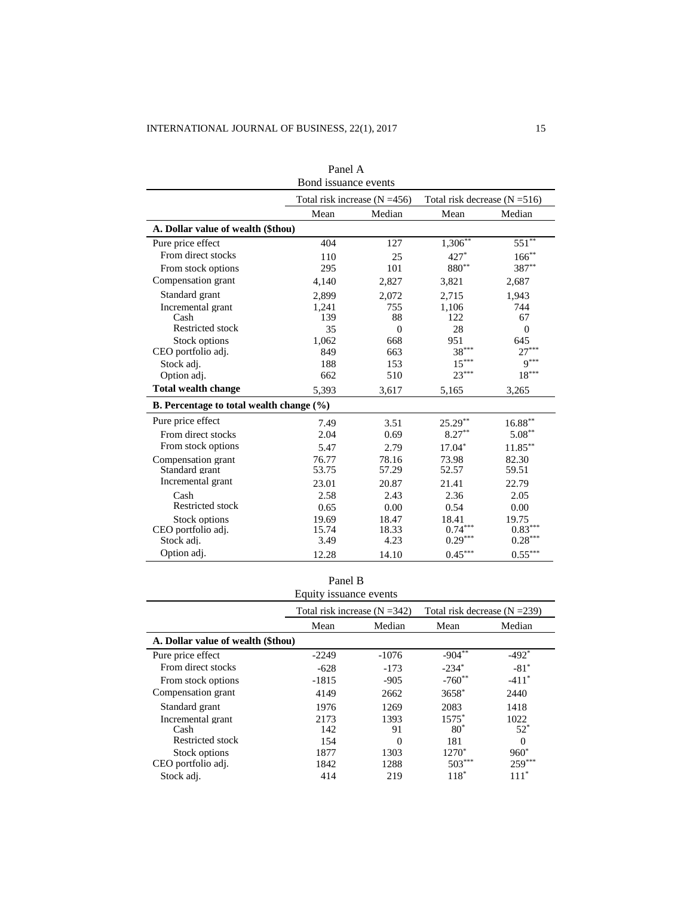|                                          | 1 anu 11<br>Bond issuance events |                                                                    |                       |                       |  |
|------------------------------------------|----------------------------------|--------------------------------------------------------------------|-----------------------|-----------------------|--|
|                                          |                                  | Total risk increase $(N = 456)$<br>Total risk decrease $(N = 516)$ |                       |                       |  |
|                                          | Mean                             | Median                                                             | Mean                  | Median                |  |
| A. Dollar value of wealth (\$thou)       |                                  |                                                                    |                       |                       |  |
| Pure price effect                        | 404                              | 127                                                                | $1,306***$            | $551***$              |  |
| From direct stocks                       | 110                              | 25                                                                 | $427*$                | $166^{**}$            |  |
| From stock options                       | 295                              | 101                                                                | 880**                 | 387**                 |  |
| Compensation grant                       | 4,140                            | 2,827                                                              | 3,821                 | 2,687                 |  |
| Standard grant                           | 2,899                            | 2,072                                                              | 2,715                 | 1,943                 |  |
| Incremental grant                        | 1.241                            | 755                                                                | 1.106                 | 744                   |  |
| Cash                                     | 139                              | 88                                                                 | 122                   | 67                    |  |
| Restricted stock                         | 35                               | $\Omega$                                                           | 28                    | $\theta$              |  |
| <b>Stock options</b>                     | 1,062                            | 668                                                                | 951                   | 645                   |  |
| CEO portfolio adj.                       | 849                              | 663                                                                | $38^{\ast\ast\ast}$   | $27***$               |  |
| Stock adj.                               | 188                              | 153                                                                | $15***$               | $9***$                |  |
| Option adj.                              | 662                              | 510                                                                | $23***$               | $18***$               |  |
| <b>Total wealth change</b>               | 5,393                            | 3,617                                                              | 5,165                 | 3,265                 |  |
| B. Percentage to total wealth change (%) |                                  |                                                                    |                       |                       |  |
| Pure price effect                        | 7.49                             | 3.51                                                               | $25.29***$            | $16.88**$             |  |
| From direct stocks                       | 2.04                             | 0.69                                                               | $8.27***$             | $5.08**$              |  |
| From stock options                       | 5.47                             | 2.79                                                               | $17.04*$              | $11.85***$            |  |
| Compensation grant                       | 76.77                            | 78.16                                                              | 73.98                 | 82.30                 |  |
| Standard grant                           | 53.75                            | 57.29                                                              | 52.57                 | 59.51                 |  |
| Incremental grant                        | 23.01                            | 20.87                                                              | 21.41                 | 22.79                 |  |
| Cash                                     | 2.58                             | 2.43                                                               | 2.36                  | 2.05                  |  |
| <b>Restricted stock</b>                  | 0.65                             | 0.00                                                               | 0.54                  | 0.00                  |  |
| <b>Stock options</b>                     | 19.69                            | 18.47                                                              | 18.41                 | 19.75                 |  |
| CEO portfolio adj.                       | 15.74                            | 18.33                                                              | $0.74^{\ast\ast\ast}$ | $0.83***$             |  |
| Stock adi.                               | 3.49                             | 4.23                                                               | $0.29***$             | $0.28^{\ast\ast\ast}$ |  |
| Option adj.                              | 12.28                            | 14.10                                                              | $0.45***$             | $0.55***$             |  |

| Panel A             |
|---------------------|
| Rond iccuspes avont |

# Panel B

| Equity issuance events             |         |                                                                    |          |                     |  |  |
|------------------------------------|---------|--------------------------------------------------------------------|----------|---------------------|--|--|
|                                    |         | Total risk increase $(N = 342)$<br>Total risk decrease $(N = 239)$ |          |                     |  |  |
|                                    | Mean    | Median                                                             | Mean     | Median              |  |  |
| A. Dollar value of wealth (\$thou) |         |                                                                    |          |                     |  |  |
| Pure price effect                  | $-2249$ | $-1076$                                                            | $-904$   | $-492$ <sup>*</sup> |  |  |
| From direct stocks                 | $-628$  | $-173$                                                             | $-234*$  | $-81*$              |  |  |
| From stock options                 | $-1815$ | $-905$                                                             | $-760**$ | $-411$ <sup>*</sup> |  |  |
| Compensation grant                 | 4149    | 2662                                                               | $3658*$  | 2440                |  |  |
| Standard grant                     | 1976    | 1269                                                               | 2083     | 1418                |  |  |
| Incremental grant                  | 2173    | 1393                                                               | $1575*$  | 1022                |  |  |
| Cash                               | 142     | 91                                                                 | $80*$    | $52*$               |  |  |
| Restricted stock                   | 154     | 0                                                                  | 181      | $\Omega$            |  |  |
| Stock options                      | 1877    | 1303                                                               | $1270*$  | $960*$              |  |  |
| CEO portfolio adj.                 | 1842    | 1288                                                               | $503***$ | $259***$            |  |  |
| Stock adj.                         | 414     | 219                                                                | $118*$   | $111*$              |  |  |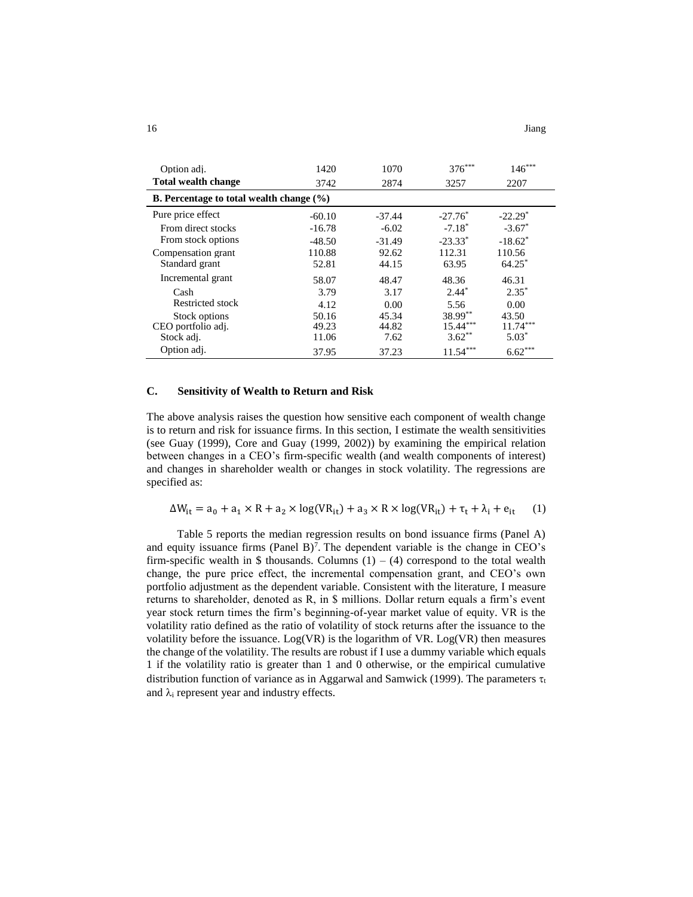| Option adj.                                  | 1420     | 1070     | 376***     | $146***$   |  |  |  |
|----------------------------------------------|----------|----------|------------|------------|--|--|--|
| <b>Total wealth change</b>                   | 3742     | 2874     | 3257       | 2207       |  |  |  |
| B. Percentage to total wealth change $(\% )$ |          |          |            |            |  |  |  |
| Pure price effect                            | $-60.10$ | $-37.44$ | $-27.76^*$ | $-22.29*$  |  |  |  |
| From direct stocks                           | $-16.78$ | $-6.02$  | $-7.18*$   | $-3.67*$   |  |  |  |
| From stock options                           | $-48.50$ | $-31.49$ | $-23.33*$  | $-18.62^*$ |  |  |  |
| Compensation grant                           | 110.88   | 92.62    | 112.31     | 110.56     |  |  |  |
| Standard grant                               | 52.81    | 44.15    | 63.95      | $64.25*$   |  |  |  |
| Incremental grant                            | 58.07    | 48.47    | 48.36      | 46.31      |  |  |  |
| Cash                                         | 3.79     | 3.17     | $2.44*$    | $2.35*$    |  |  |  |
| Restricted stock                             | 4.12     | 0.00     | 5.56       | 0.00       |  |  |  |
| Stock options                                | 50.16    | 45.34    | $38.99**$  | 43.50      |  |  |  |
| CEO portfolio adj.                           | 49.23    | 44.82    | $15.44***$ | $11.74***$ |  |  |  |
| Stock adj.                                   | 11.06    | 7.62     | $3.62***$  | $5.03*$    |  |  |  |
| Option adj.                                  | 37.95    | 37.23    | $11.54***$ | $6.62***$  |  |  |  |

## **C. Sensitivity of Wealth to Return and Risk**

The above analysis raises the question how sensitive each component of wealth change is to return and risk for issuance firms. In this section, I estimate the wealth sensitivities (see Guay (1999), Core and Guay (1999, 2002)) by examining the empirical relation between changes in a CEO's firm-specific wealth (and wealth components of interest) and changes in shareholder wealth or changes in stock volatility. The regressions are specified as:

$$
\Delta W_{it} = a_0 + a_1 \times R + a_2 \times \log(VR_{it}) + a_3 \times R \times \log(VR_{it}) + \tau_t + \lambda_i + e_{it} \tag{1}
$$

Table 5 reports the median regression results on bond issuance firms (Panel A) and equity issuance firms  $(Panel B)^7$ . The dependent variable is the change in  $CEO's$ firm-specific wealth in  $\$  thousands. Columns (1) – (4) correspond to the total wealth change, the pure price effect, the incremental compensation grant, and CEO's own portfolio adjustment as the dependent variable. Consistent with the literature, I measure returns to shareholder, denoted as R, in \$ millions. Dollar return equals a firm's event year stock return times the firm's beginning-of-year market value of equity. VR is the volatility ratio defined as the ratio of volatility of stock returns after the issuance to the volatility before the issuance.  $Log(VR)$  is the logarithm of VR.  $Log(VR)$  then measures the change of the volatility. The results are robust if I use a dummy variable which equals 1 if the volatility ratio is greater than 1 and 0 otherwise, or the empirical cumulative distribution function of variance as in Aggarwal and Samwick (1999). The parameters  $\tau_t$ and  $\lambda_i$  represent year and industry effects.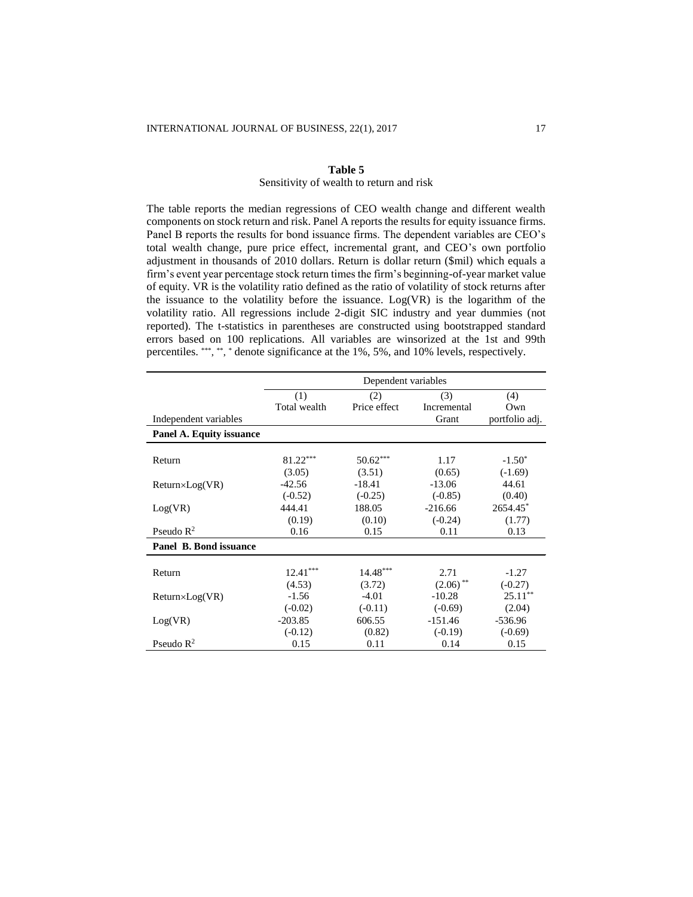#### **Table 5**

## Sensitivity of wealth to return and risk

The table reports the median regressions of CEO wealth change and different wealth components on stock return and risk. Panel A reports the results for equity issuance firms. Panel B reports the results for bond issuance firms. The dependent variables are CEO's total wealth change, pure price effect, incremental grant, and CEO's own portfolio adjustment in thousands of 2010 dollars. Return is dollar return (\$mil) which equals a firm's event year percentage stock return times the firm's beginning-of-year market value of equity. VR is the volatility ratio defined as the ratio of volatility of stock returns after the issuance to the volatility before the issuance. Log(VR) is the logarithm of the volatility ratio. All regressions include 2-digit SIC industry and year dummies (not reported). The t-statistics in parentheses are constructed using bootstrapped standard errors based on 100 replications. All variables are winsorized at the 1st and 99th percentiles. \*\*\*, \*\*, \* denote significance at the 1%, 5%, and 10% levels, respectively.

|                          | Dependent variables |              |             |                |
|--------------------------|---------------------|--------------|-------------|----------------|
|                          | (1)                 | (2)          | (3)         | (4)            |
|                          | Total wealth        | Price effect | Incremental | Own            |
| Independent variables    |                     |              | Grant       | portfolio adj. |
| Panel A. Equity issuance |                     |              |             |                |
|                          |                     |              |             |                |
| Return                   | 81.22***            | $50.62***$   | 1.17        | $-1.50^*$      |
|                          | (3.05)              | (3.51)       | (0.65)      | $(-1.69)$      |
| $Return \times Log(VR)$  | $-42.56$            | $-18.41$     | $-13.06$    | 44.61          |
|                          | $(-0.52)$           | $(-0.25)$    | $(-0.85)$   | (0.40)         |
| Log(VR)                  | 444.41              | 188.05       | $-216.66$   | 2654.45*       |
|                          | (0.19)              | (0.10)       | $(-0.24)$   | (1.77)         |
| Pseudo $\mathbb{R}^2$    | 0.16                | 0.15         | 0.11        | 0.13           |
| Panel B. Bond issuance   |                     |              |             |                |
|                          |                     |              |             |                |
| Return                   | $12.41***$          | $14.48***$   | 2.71        | $-1.27$        |
|                          | (4.53)              | (3.72)       | $(2.06)$ ** | $(-0.27)$      |
| $Return \times Log(VR)$  | $-1.56$             | $-4.01$      | $-10.28$    | $25.11***$     |
|                          | $(-0.02)$           | $(-0.11)$    | $(-0.69)$   | (2.04)         |
| Log(VR)                  | $-203.85$           | 606.55       | $-151.46$   | $-536.96$      |
|                          | $(-0.12)$           | (0.82)       | $(-0.19)$   | $(-0.69)$      |
| Pseudo $\mathbb{R}^2$    | 0.15                | 0.11         | 0.14        | 0.15           |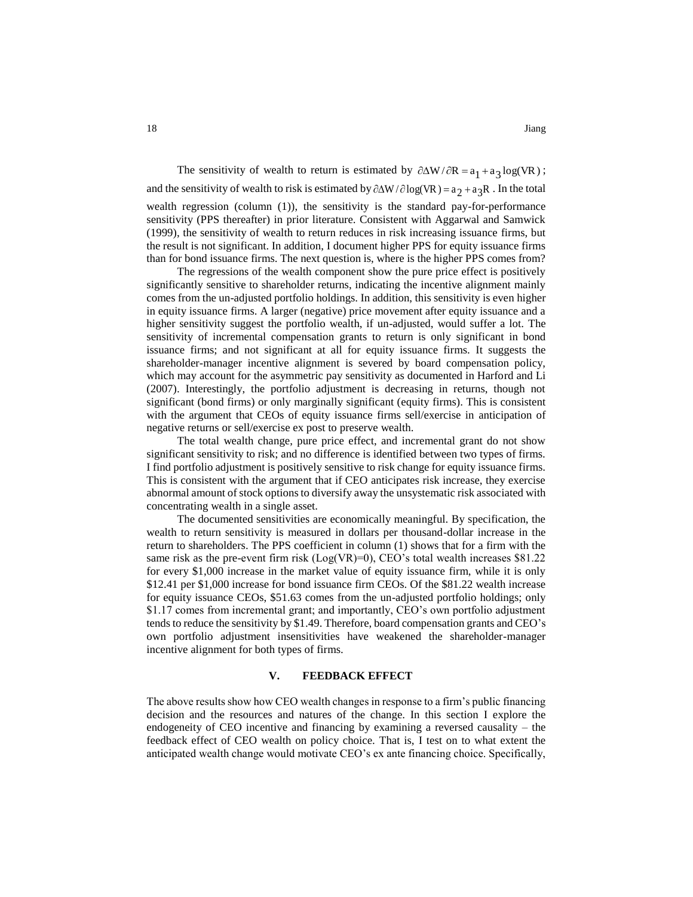The sensitivity of wealth to return is estimated by  $\partial \Delta W / \partial R = a_1 + a_3 \log(VR)$ ; and the sensitivity of wealth to risk is estimated by  $\partial \Delta W / \partial \log(VR) = a_2 + a_3 R$ . In the total wealth regression (column (1)), the sensitivity is the standard pay-for-performance sensitivity (PPS thereafter) in prior literature. Consistent with Aggarwal and Samwick (1999), the sensitivity of wealth to return reduces in risk increasing issuance firms, but the result is not significant. In addition, I document higher PPS for equity issuance firms than for bond issuance firms. The next question is, where is the higher PPS comes from?

The regressions of the wealth component show the pure price effect is positively significantly sensitive to shareholder returns, indicating the incentive alignment mainly comes from the un-adjusted portfolio holdings. In addition, this sensitivity is even higher in equity issuance firms. A larger (negative) price movement after equity issuance and a higher sensitivity suggest the portfolio wealth, if un-adjusted, would suffer a lot. The sensitivity of incremental compensation grants to return is only significant in bond issuance firms; and not significant at all for equity issuance firms. It suggests the shareholder-manager incentive alignment is severed by board compensation policy, which may account for the asymmetric pay sensitivity as documented in Harford and Li (2007). Interestingly, the portfolio adjustment is decreasing in returns, though not significant (bond firms) or only marginally significant (equity firms). This is consistent with the argument that CEOs of equity issuance firms sell/exercise in anticipation of negative returns or sell/exercise ex post to preserve wealth.

The total wealth change, pure price effect, and incremental grant do not show significant sensitivity to risk; and no difference is identified between two types of firms. I find portfolio adjustment is positively sensitive to risk change for equity issuance firms. This is consistent with the argument that if CEO anticipates risk increase, they exercise abnormal amount of stock options to diversify away the unsystematic risk associated with concentrating wealth in a single asset.

The documented sensitivities are economically meaningful. By specification, the wealth to return sensitivity is measured in dollars per thousand-dollar increase in the return to shareholders. The PPS coefficient in column (1) shows that for a firm with the same risk as the pre-event firm risk  $(Log(VR)=0)$ , CEO's total wealth increases \$81.22 for every \$1,000 increase in the market value of equity issuance firm, while it is only \$12.41 per \$1,000 increase for bond issuance firm CEOs. Of the \$81.22 wealth increase for equity issuance CEOs, \$51.63 comes from the un-adjusted portfolio holdings; only \$1.17 comes from incremental grant; and importantly, CEO's own portfolio adjustment tends to reduce the sensitivity by \$1.49. Therefore, board compensation grants and CEO's own portfolio adjustment insensitivities have weakened the shareholder-manager incentive alignment for both types of firms.

#### **V. FEEDBACK EFFECT**

The above results show how CEO wealth changes in response to a firm's public financing decision and the resources and natures of the change. In this section I explore the endogeneity of CEO incentive and financing by examining a reversed causality – the feedback effect of CEO wealth on policy choice. That is, I test on to what extent the anticipated wealth change would motivate CEO's ex ante financing choice. Specifically,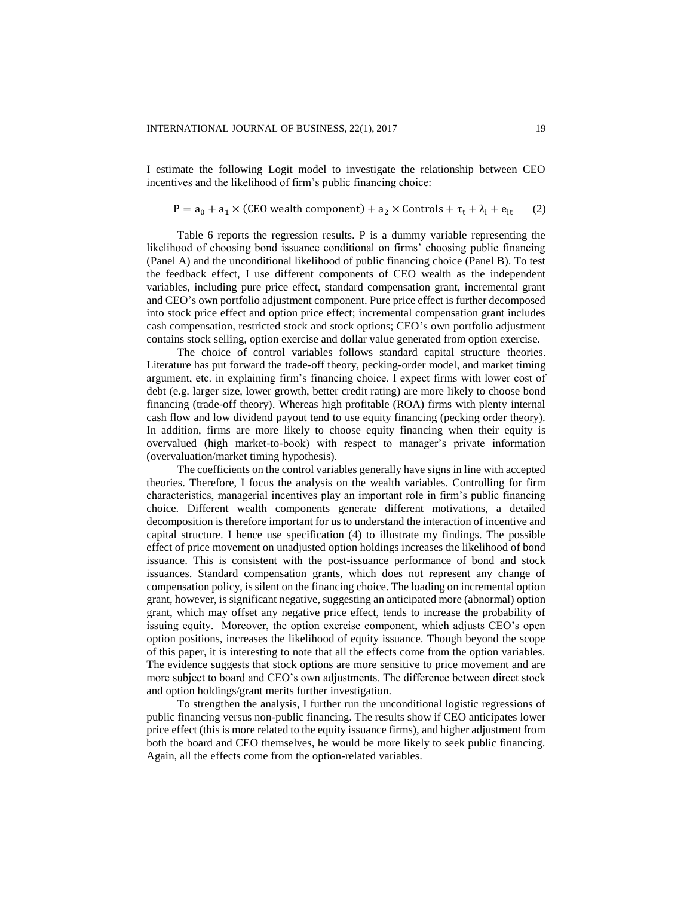I estimate the following Logit model to investigate the relationship between CEO incentives and the likelihood of firm's public financing choice:

$$
P = a_0 + a_1 \times (CEO wealth component) + a_2 \times controls + \tau_t + \lambda_i + e_{it} \tag{2}
$$

Table 6 reports the regression results. P is a dummy variable representing the likelihood of choosing bond issuance conditional on firms' choosing public financing (Panel A) and the unconditional likelihood of public financing choice (Panel B). To test the feedback effect, I use different components of CEO wealth as the independent variables, including pure price effect, standard compensation grant, incremental grant and CEO's own portfolio adjustment component. Pure price effect is further decomposed into stock price effect and option price effect; incremental compensation grant includes cash compensation, restricted stock and stock options; CEO's own portfolio adjustment contains stock selling, option exercise and dollar value generated from option exercise.

The choice of control variables follows standard capital structure theories. Literature has put forward the trade-off theory, pecking-order model, and market timing argument, etc. in explaining firm's financing choice. I expect firms with lower cost of debt (e.g. larger size, lower growth, better credit rating) are more likely to choose bond financing (trade-off theory). Whereas high profitable (ROA) firms with plenty internal cash flow and low dividend payout tend to use equity financing (pecking order theory). In addition, firms are more likely to choose equity financing when their equity is overvalued (high market-to-book) with respect to manager's private information (overvaluation/market timing hypothesis).

The coefficients on the control variables generally have signs in line with accepted theories. Therefore, I focus the analysis on the wealth variables. Controlling for firm characteristics, managerial incentives play an important role in firm's public financing choice. Different wealth components generate different motivations, a detailed decomposition is therefore important for us to understand the interaction of incentive and capital structure. I hence use specification (4) to illustrate my findings. The possible effect of price movement on unadjusted option holdings increases the likelihood of bond issuance. This is consistent with the post-issuance performance of bond and stock issuances. Standard compensation grants, which does not represent any change of compensation policy, is silent on the financing choice. The loading on incremental option grant, however, is significant negative, suggesting an anticipated more (abnormal) option grant, which may offset any negative price effect, tends to increase the probability of issuing equity. Moreover, the option exercise component, which adjusts CEO's open option positions, increases the likelihood of equity issuance. Though beyond the scope of this paper, it is interesting to note that all the effects come from the option variables. The evidence suggests that stock options are more sensitive to price movement and are more subject to board and CEO's own adjustments. The difference between direct stock and option holdings/grant merits further investigation.

To strengthen the analysis, I further run the unconditional logistic regressions of public financing versus non-public financing. The results show if CEO anticipates lower price effect (this is more related to the equity issuance firms), and higher adjustment from both the board and CEO themselves, he would be more likely to seek public financing. Again, all the effects come from the option-related variables.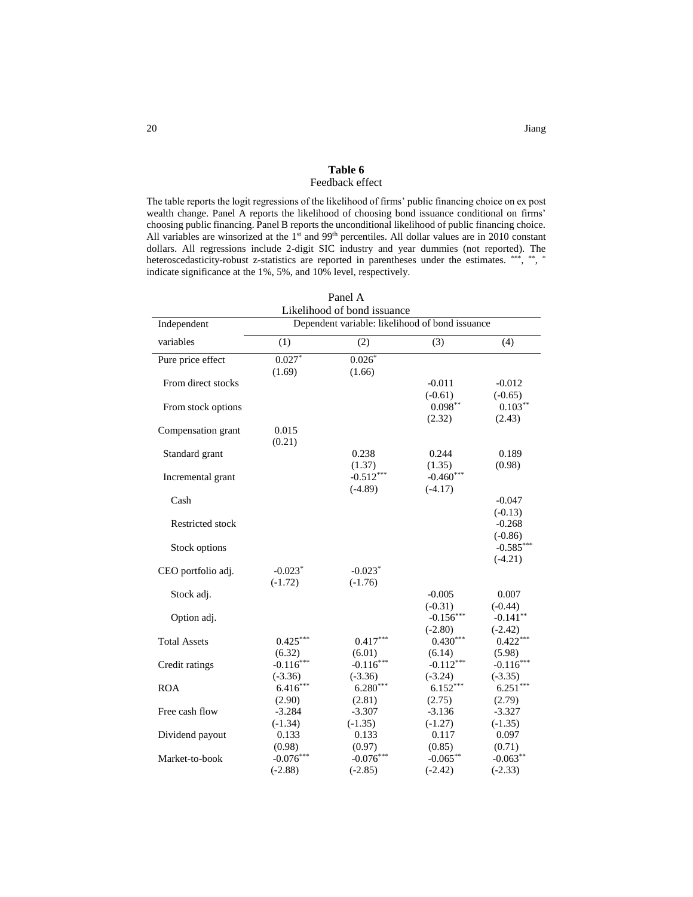## **Table 6** Feedback effect

The table reports the logit regressions of the likelihood of firms' public financing choice on ex post wealth change. Panel A reports the likelihood of choosing bond issuance conditional on firms' choosing public financing. Panel B reports the unconditional likelihood of public financing choice. All variables are winsorized at the 1<sup>st</sup> and 99<sup>th</sup> percentiles. All dollar values are in 2010 constant dollars. All regressions include 2-digit SIC industry and year dummies (not reported). The heteroscedasticity-robust z-statistics are reported in parentheses under the estimates. \*\*\*, \*\*, \* indicate significance at the 1%, 5%, and 10% level, respectively.

| Panel A<br>Likelihood of bond issuance |                         |                                                 |                         |                          |  |
|----------------------------------------|-------------------------|-------------------------------------------------|-------------------------|--------------------------|--|
| Independent                            |                         | Dependent variable: likelihood of bond issuance |                         |                          |  |
| variables                              | (1)                     | (2)                                             | (3)                     | (4)                      |  |
| Pure price effect                      | $0.027*$                | $0.026*$                                        |                         |                          |  |
|                                        | (1.69)                  | (1.66)                                          |                         |                          |  |
| From direct stocks                     |                         |                                                 | $-0.011$                | $-0.012$                 |  |
|                                        |                         |                                                 | $(-0.61)$<br>$0.098**$  | $(-0.65)$<br>$0.103***$  |  |
| From stock options                     |                         |                                                 | (2.32)                  | (2.43)                   |  |
| Compensation grant                     | 0.015                   |                                                 |                         |                          |  |
|                                        | (0.21)                  |                                                 |                         |                          |  |
| Standard grant                         |                         | 0.238                                           | 0.244                   | 0.189                    |  |
|                                        |                         | (1.37)                                          | (1.35)                  | (0.98)                   |  |
| Incremental grant                      |                         | $-0.512***$                                     | $-0.460***$             |                          |  |
|                                        |                         | $(-4.89)$                                       | $(-4.17)$               |                          |  |
| Cash                                   |                         |                                                 |                         | $-0.047$                 |  |
|                                        |                         |                                                 |                         | $(-0.13)$                |  |
| <b>Restricted stock</b>                |                         |                                                 |                         | $-0.268$                 |  |
|                                        |                         |                                                 |                         | $(-0.86)$                |  |
| Stock options                          |                         |                                                 |                         | $-0.585***$<br>$(-4.21)$ |  |
| CEO portfolio adj.                     | $-0.023*$               | $-0.023*$                                       |                         |                          |  |
|                                        | $(-1.72)$               | $(-1.76)$                                       |                         |                          |  |
| Stock adj.                             |                         |                                                 | $-0.005$                | 0.007                    |  |
|                                        |                         |                                                 | $(-0.31)$               | $(-0.44)$                |  |
| Option adj.                            |                         |                                                 | $-0.156***$             | $-0.141**$               |  |
|                                        |                         |                                                 | $(-2.80)$               | $(-2.42)$                |  |
| <b>Total Assets</b>                    | $0.425***$              | $0.417***$                                      | $0.430***$              | $0.422***$               |  |
|                                        | (6.32)                  | (6.01)                                          | (6.14)                  | (5.98)                   |  |
| Credit ratings                         | $-0.116***$             | $-0.116***$                                     | $-0.112***$             | $-0.116***$              |  |
| <b>ROA</b>                             | $(-3.36)$<br>$6.416***$ | $(-3.36)$<br>$6.280***$                         | $(-3.24)$<br>$6.152***$ | $(-3.35)$<br>$6.251***$  |  |
|                                        | (2.90)                  | (2.81)                                          | (2.75)                  |                          |  |
| Free cash flow                         | $-3.284$                | $-3.307$                                        | $-3.136$                | (2.79)<br>$-3.327$       |  |
|                                        | $(-1.34)$               | $(-1.35)$                                       | $(-1.27)$               | $(-1.35)$                |  |
| Dividend payout                        | 0.133                   | 0.133                                           | 0.117                   | 0.097                    |  |
|                                        | (0.98)                  | (0.97)                                          | (0.85)                  | (0.71)                   |  |
| Market-to-book                         | $-0.076***$             | $-0.076***$                                     | $-0.065***$             | $-0.063**$               |  |
|                                        | $(-2.88)$               | $(-2.85)$                                       | $(-2.42)$               | $(-2.33)$                |  |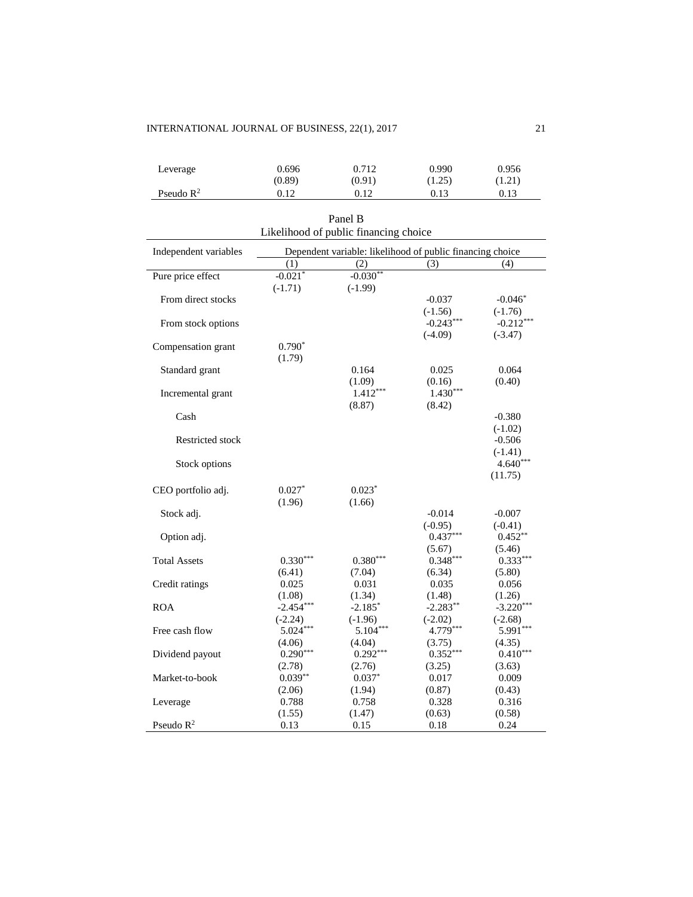## INTERNATIONAL JOURNAL OF BUSINESS, 22(1), 2017 21

| Leverage              | 0.696  | 0.712  | 0.990  | 0.956  |
|-----------------------|--------|--------|--------|--------|
|                       | (0.89) | (0.91) | (1.25) | (1.21) |
| Pseudo $\mathbb{R}^2$ | 0.12   | 0.12   | 0.13   | 0.13   |

| Panel B                               |                                                           |                 |                          |                          |  |  |  |
|---------------------------------------|-----------------------------------------------------------|-----------------|--------------------------|--------------------------|--|--|--|
| Likelihood of public financing choice |                                                           |                 |                          |                          |  |  |  |
| Independent variables                 | Dependent variable: likelihood of public financing choice |                 |                          |                          |  |  |  |
|                                       | (1)                                                       | (2)             | (3)                      | (4)                      |  |  |  |
| Pure price effect                     | $-0.021*$                                                 | $-0.030**$      |                          |                          |  |  |  |
|                                       | $(-1.71)$                                                 | $(-1.99)$       |                          |                          |  |  |  |
| From direct stocks                    |                                                           |                 | $-0.037$                 | $-0.046*$                |  |  |  |
|                                       |                                                           |                 | $(-1.56)$<br>$-0.243***$ | $(-1.76)$<br>$-0.212***$ |  |  |  |
| From stock options                    |                                                           |                 | $(-4.09)$                | $(-3.47)$                |  |  |  |
| Compensation grant                    | $0.790*$                                                  |                 |                          |                          |  |  |  |
|                                       | (1.79)                                                    |                 |                          |                          |  |  |  |
| Standard grant                        |                                                           | 0.164           | 0.025                    | 0.064                    |  |  |  |
|                                       |                                                           | (1.09)          | (0.16)                   | (0.40)                   |  |  |  |
| Incremental grant                     |                                                           | $1.412***$      | $1.430***$               |                          |  |  |  |
|                                       |                                                           | (8.87)          | (8.42)                   |                          |  |  |  |
| Cash                                  |                                                           |                 |                          | $-0.380$                 |  |  |  |
|                                       |                                                           |                 |                          | $(-1.02)$                |  |  |  |
| Restricted stock                      |                                                           |                 |                          | $-0.506$                 |  |  |  |
|                                       |                                                           |                 |                          | $(-1.41)$                |  |  |  |
| Stock options                         |                                                           |                 |                          | $4.640***$               |  |  |  |
|                                       |                                                           |                 |                          | (11.75)                  |  |  |  |
| CEO portfolio adj.                    | $0.027*$                                                  | $0.023*$        |                          |                          |  |  |  |
|                                       | (1.96)                                                    | (1.66)          |                          |                          |  |  |  |
| Stock adj.                            |                                                           |                 | $-0.014$                 | $-0.007$                 |  |  |  |
|                                       |                                                           |                 | $(-0.95)$                | $(-0.41)$                |  |  |  |
| Option adj.                           |                                                           |                 | $0.437***$               | $0.452**$                |  |  |  |
|                                       |                                                           |                 | (5.67)                   | (5.46)                   |  |  |  |
| <b>Total Assets</b>                   | $0.330***$                                                | $0.380***$      | $0.348***$<br>(6.34)     | $0.333***$               |  |  |  |
| Credit ratings                        | (6.41)<br>0.025                                           | (7.04)<br>0.031 | 0.035                    | (5.80)<br>0.056          |  |  |  |
|                                       | (1.08)                                                    | (1.34)          | (1.48)                   | (1.26)                   |  |  |  |
| <b>ROA</b>                            | $-2.454***$                                               | $-2.185*$       | $-2.283**$               | $-3.220***$              |  |  |  |
|                                       | $(-2.24)$                                                 | $(-1.96)$       | $(-2.02)$                | $(-2.68)$                |  |  |  |
| Free cash flow                        | $5.024***$                                                | $5.104***$      | 4.779***                 | 5.991***                 |  |  |  |
|                                       | (4.06)                                                    | (4.04)          | (3.75)                   | (4.35)                   |  |  |  |
| Dividend payout                       | $0.290***$                                                | $0.292***$      | $0.352***$               | $0.410***$               |  |  |  |
|                                       | (2.78)                                                    | (2.76)          | (3.25)                   | (3.63)                   |  |  |  |
| Market-to-book                        | $0.039**$                                                 | $0.037*$        | 0.017                    | 0.009                    |  |  |  |
|                                       | (2.06)                                                    | (1.94)          | (0.87)                   | (0.43)                   |  |  |  |
| Leverage                              | 0.788                                                     | 0.758           | 0.328                    | 0.316                    |  |  |  |
|                                       | (1.55)                                                    | (1.47)          | (0.63)                   | (0.58)                   |  |  |  |
| Pseudo $R^2$                          | 0.13                                                      | 0.15            | 0.18                     | 0.24                     |  |  |  |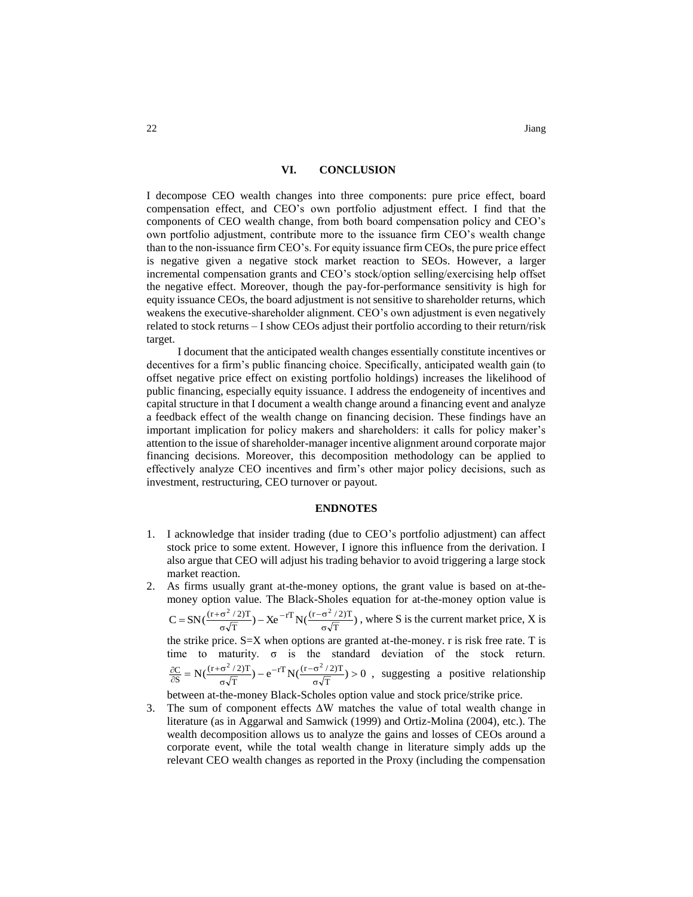## **VI. CONCLUSION**

I decompose CEO wealth changes into three components: pure price effect, board compensation effect, and CEO's own portfolio adjustment effect. I find that the components of CEO wealth change, from both board compensation policy and CEO's own portfolio adjustment, contribute more to the issuance firm CEO's wealth change than to the non-issuance firm CEO's. For equity issuance firm CEOs, the pure price effect is negative given a negative stock market reaction to SEOs. However, a larger incremental compensation grants and CEO's stock/option selling/exercising help offset the negative effect. Moreover, though the pay-for-performance sensitivity is high for equity issuance CEOs, the board adjustment is not sensitive to shareholder returns, which weakens the executive-shareholder alignment. CEO's own adjustment is even negatively related to stock returns – I show CEOs adjust their portfolio according to their return/risk target.

I document that the anticipated wealth changes essentially constitute incentives or decentives for a firm's public financing choice. Specifically, anticipated wealth gain (to offset negative price effect on existing portfolio holdings) increases the likelihood of public financing, especially equity issuance. I address the endogeneity of incentives and capital structure in that I document a wealth change around a financing event and analyze a feedback effect of the wealth change on financing decision. These findings have an important implication for policy makers and shareholders: it calls for policy maker's attention to the issue of shareholder-manager incentive alignment around corporate major financing decisions. Moreover, this decomposition methodology can be applied to effectively analyze CEO incentives and firm's other major policy decisions, such as investment, restructuring, CEO turnover or payout.

#### **ENDNOTES**

- 1. I acknowledge that insider trading (due to CEO's portfolio adjustment) can affect stock price to some extent. However, I ignore this influence from the derivation. I also argue that CEO will adjust his trading behavior to avoid triggering a large stock market reaction.
- 2. As firms usually grant at-the-money options, the grant value is based on at-themoney option value. The Black-Sholes equation for at-the-money option value is

 $C = SN(\frac{(1+\sigma^2/2)^2}{\sigma\sqrt{T}}) - Xe^{-1}N(\frac{(1+\sigma^2/2)^2}{\sigma\sqrt{T}})$  $rT_{\rm M}$   $(r - \sigma^2 / 2)T$ T  $(r+\sigma^2/2)T$ ,  $\mathbf{v} = rT\mathbf{v}$   $(r-\sigma^2)$ σ  $-rT_{\rm N}r/(r-\sigma)$ σ  $=\text{SN}(\frac{(\text{r}+\sigma^2/2)T}{\sqrt{2}}) - \text{X}e^{-rT}\text{N}(\frac{(\text{r}-\sigma^2/2)T}{\sqrt{2}})$ , where S is the current market price, X is

the strike price. S=X when options are granted at-the-money. r is risk free rate. T is time to maturity. σ is the standard deviation of the stock return.  $N(\frac{(1+o^{2}/2)^{2}}{\sigma\sqrt{T}})-e^{-1}N(\frac{(1+o^{2}/2)^{2}}{\sigma\sqrt{T}})>0$  $rT_{\rm MZ}$   $(r - \sigma^2 / 2)T$ T  $(r + \sigma^2 / 2)T$ S  $\frac{C}{S} = N(\frac{(r+\sigma^2/2)T}{\sigma\sqrt{T}}) - e^{-rT}N(\frac{(r-\sigma^2/2)T}{\sigma\sqrt{T}}) >$  $-rT_{\rm N}r/(r-\sigma)$ ᡴ  $+\sigma$ д  $\frac{\partial C}{\partial s} = N\left(\frac{(r+\sigma^2/2)^2}{\sigma}\right) - e^{-rT}N\left(\frac{(r-\sigma^2/2)^2}{\sigma}\right) > 0$ , suggesting a positive relationship

between at-the-money Black-Scholes option value and stock price/strike price.

3. The sum of component effects ΔW matches the value of total wealth change in literature (as in Aggarwal and Samwick (1999) and Ortiz-Molina (2004), etc.). The wealth decomposition allows us to analyze the gains and losses of CEOs around a corporate event, while the total wealth change in literature simply adds up the relevant CEO wealth changes as reported in the Proxy (including the compensation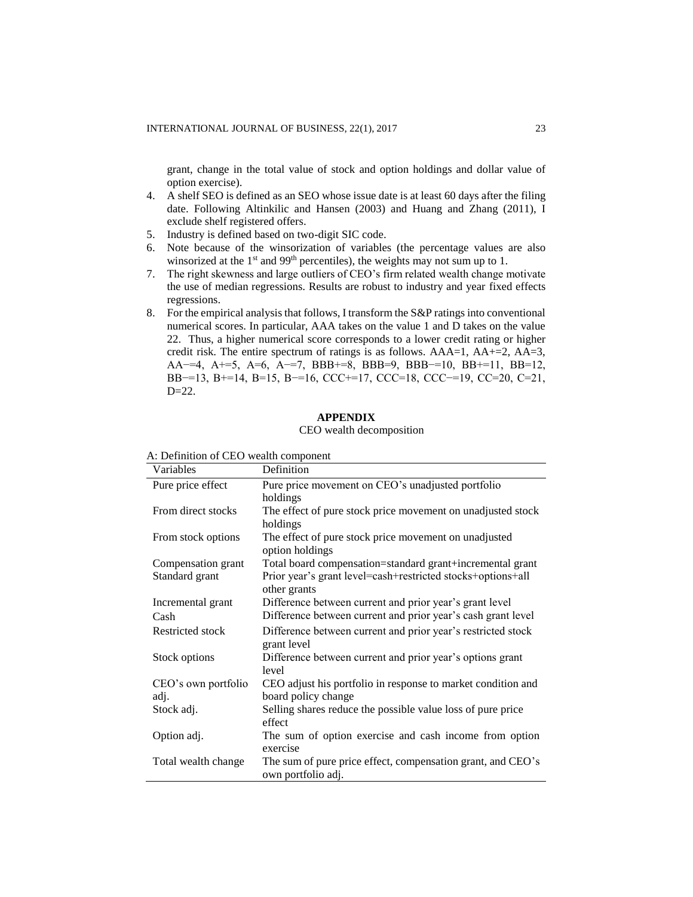grant, change in the total value of stock and option holdings and dollar value of option exercise).

- 4. A shelf SEO is defined as an SEO whose issue date is at least 60 days after the filing date. Following Altinkilic and Hansen (2003) and Huang and Zhang (2011), I exclude shelf registered offers.
- 5. Industry is defined based on two-digit SIC code.
- 6. Note because of the winsorization of variables (the percentage values are also winsorized at the  $1<sup>st</sup>$  and 99<sup>th</sup> percentiles), the weights may not sum up to 1.
- 7. The right skewness and large outliers of CEO's firm related wealth change motivate the use of median regressions. Results are robust to industry and year fixed effects regressions.
- 8. For the empirical analysis that follows, I transform the S&P ratings into conventional numerical scores. In particular, AAA takes on the value 1 and D takes on the value 22. Thus, a higher numerical score corresponds to a lower credit rating or higher credit risk. The entire spectrum of ratings is as follows.  $AAA=1$ ,  $AA+=2$ ,  $AA=3$ , AA−=4, A+=5, A=6, A−=7, BBB+=8, BBB=9, BBB−=10, BB+=11, BB=12, BB−=13, B+=14, B=15, B−=16, CCC+=17, CCC=18, CCC−=19, CC=20, C=21,  $D=22$ .

## **APPENDIX**

## CEO wealth decomposition

| Variables                            | Definition                                                                                                                               |
|--------------------------------------|------------------------------------------------------------------------------------------------------------------------------------------|
| Pure price effect                    | Pure price movement on CEO's unadjusted portfolio<br>holdings                                                                            |
| From direct stocks                   | The effect of pure stock price movement on unadjusted stock                                                                              |
| From stock options                   | holdings<br>The effect of pure stock price movement on unadjusted<br>option holdings                                                     |
| Compensation grant<br>Standard grant | Total board compensation=standard grant+incremental grant<br>Prior year's grant level=cash+restricted stocks+options+all<br>other grants |
| Incremental grant<br>Cash            | Difference between current and prior year's grant level<br>Difference between current and prior year's cash grant level                  |
| Restricted stock                     | Difference between current and prior year's restricted stock<br>grant level                                                              |
| Stock options                        | Difference between current and prior year's options grant<br>level                                                                       |
| CEO's own portfolio<br>adj.          | CEO adjust his portfolio in response to market condition and<br>board policy change                                                      |
| Stock adj.                           | Selling shares reduce the possible value loss of pure price<br>effect                                                                    |
| Option adj.                          | The sum of option exercise and cash income from option<br>exercise                                                                       |
| Total wealth change                  | The sum of pure price effect, compensation grant, and CEO's<br>own portfolio adj.                                                        |

A: Definition of CEO wealth component